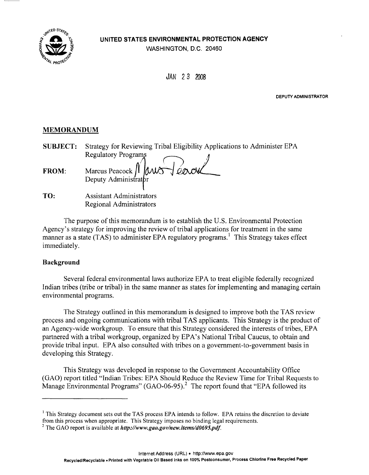

### **UNITED STATES ENVIRONMENTAL PROTECTION AGENCY**

WASHINGTON, D.C. 20460

JAN *2*3 2008

**DEPUTY ADMINISTRATOR** 

### **MEMORANDUM**

| <b>SUBJECT:</b> | Strategy for Reviewing Tribal Eligibility Applications to Administer EPA |  |  |
|-----------------|--------------------------------------------------------------------------|--|--|
|                 | Regulatory Programs                                                      |  |  |
| <b>FROM:</b>    | Marcus Peacock Mars Teavoul                                              |  |  |
|                 |                                                                          |  |  |
| TO:             | <b>Assistant Administrators</b>                                          |  |  |

Regional Administrators

The purpose of this memorandum is to establish the U.S. Environmental Protection Agency's strategy for improving the review of tribal applications for treatment in the same manner as a state (TAS) to administer EPA regulatory programs.<sup>1</sup> This Strategy takes effect immediately.

# **Background**

Several federal environmental laws authorize EPA to treat eligible federally recognized Indian tribes (tribe or tribal) in the same manner as states for implementing and managing certain environmental programs.

The Strategy outlined in this memorandum is designed to improve both the TAS review process and ongoing communications with tribal T AS applicants. This Strategy is the product of an Agency-wide workgroup. To ensure that this Strategy considered the interests of tribes, EPA partnered with a tribal workgroup, organized by EPA's National Tribal Caucus, to obtain and provide tribal input. EPA also consulted with tribes on a government-to-government basis in developing this Strategy.

This Strategy was developed in response to the Government Accountability Office (GAO) report titled "Indian Tribes: EPA Should Reduce the Review Time for Tribal Requests to Manage Environmental Programs" (GAO-06-95).<sup>2</sup> The report found that "EPA followed its

<sup>&</sup>lt;sup>1</sup> This Strategy document sets out the TAS process EPA intends to follow. EPA retains the discretion to deviate from this process when appropriate. This Strategy imposes no binding legal requirements.

<sup>&</sup>lt;sup>2</sup> The GAO report is available at *http://www.gao.gov/new.items/d0695.pdf.*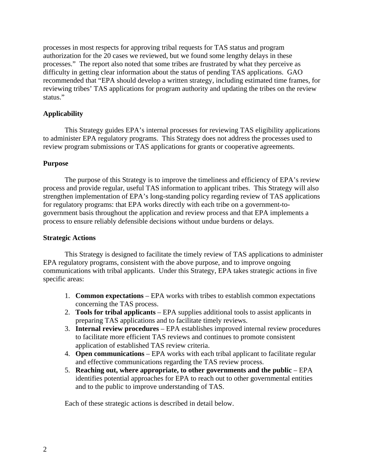processes in most respects for approving tribal requests for TAS status and program authorization for the 20 cases we reviewed, but we found some lengthy delays in these processes." The report also noted that some tribes are frustrated by what they perceive as difficulty in getting clear information about the status of pending TAS applications. GAO recommended that "EPA should develop a written strategy, including estimated time frames, for reviewing tribes' TAS applications for program authority and updating the tribes on the review status."

# **Applicability**

This Strategy guides EPA's internal processes for reviewing TAS eligibility applications to administer EPA regulatory programs. This Strategy does not address the processes used to review program submissions or TAS applications for grants or cooperative agreements.

### **Purpose**

The purpose of this Strategy is to improve the timeliness and efficiency of EPA's review process and provide regular, useful TAS information to applicant tribes. This Strategy will also strengthen implementation of EPA's long-standing policy regarding review of TAS applications for regulatory programs: that EPA works directly with each tribe on a government-togovernment basis throughout the application and review process and that EPA implements a process to ensure reliably defensible decisions without undue burdens or delays.

### **Strategic Actions**

This Strategy is designed to facilitate the timely review of TAS applications to administer EPA regulatory programs, consistent with the above purpose, and to improve ongoing communications with tribal applicants. Under this Strategy, EPA takes strategic actions in five specific areas:

- 1. **Common expectations** EPA works with tribes to establish common expectations concerning the TAS process.
- 2. **Tools for tribal applicants** EPA supplies additional tools to assist applicants in preparing TAS applications and to facilitate timely reviews.
- 3. **Internal review procedures** EPA establishes improved internal review procedures to facilitate more efficient TAS reviews and continues to promote consistent application of established TAS review criteria.
- 4. **Open communications**  EPA works with each tribal applicant to facilitate regular and effective communications regarding the TAS review process.
- 5. **Reaching out, where appropriate, to other governments and the public** EPA identifies potential approaches for EPA to reach out to other governmental entities and to the public to improve understanding of TAS.

Each of these strategic actions is described in detail below.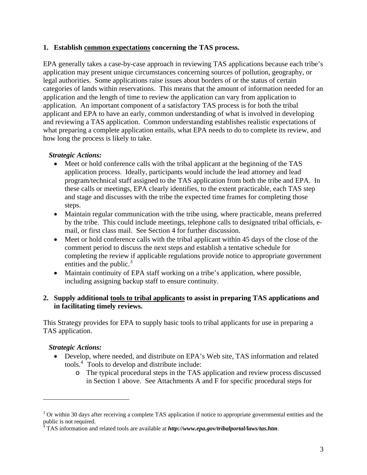### **1. Establish common expectations concerning the TAS process.**

EPA generally takes a case-by-case approach in reviewing TAS applications because each tribe's application may present unique circumstances concerning sources of pollution, geography, or legal authorities. Some applications raise issues about borders of or the status of certain categories of lands within reservations. This means that the amount of information needed for an application and the length of time to review the application can vary from application to application. An important component of a satisfactory TAS process is for both the tribal applicant and EPA to have an early, common understanding of what is involved in developing and reviewing a TAS application. Common understanding establishes realistic expectations of what preparing a complete application entails, what EPA needs to do to complete its review, and how long the process is likely to take.

# *Strategic Actions:*

- Meet or hold conference calls with the tribal applicant at the beginning of the TAS application process. Ideally, participants would include the lead attorney and lead program/technical staff assigned to the TAS application from both the tribe and EPA. In these calls or meetings, EPA clearly identifies, to the extent practicable, each TAS step and stage and discusses with the tribe the expected time frames for completing those steps.
- Maintain regular communication with the tribe using, where practicable, means preferred by the tribe. This could include meetings, telephone calls to designated tribal officials, email, or first class mail. See Section 4 for further discussion.
- Meet or hold conference calls with the tribal applicant within 45 days of the close of the comment period to discuss the next steps and establish a tentative schedule for completing the review if applicable regulations provide notice to appropriate government entities and the public. $3$
- Maintain continuity of EPA staff working on a tribe's application, where possible, including assigning backup staff to ensure continuity.

# **2. Supply additional tools to tribal applicants to assist in preparing TAS applications and in facilitating timely reviews.**

This Strategy provides for EPA to supply basic tools to tribal applicants for use in preparing a TAS application.

# *Strategic Actions:*

- Develop, where needed, and distribute on EPA's Web site, TAS information and related tools.<sup>[4](#page-2-1)</sup> Tools to develop and distribute include:
	- o The typical procedural steps in the TAS application and review process discussed in Section 1 above. See Attachments A and F for specific procedural steps for

<span id="page-2-0"></span> $3$  Or within 30 days after receiving a complete TAS application if notice to appropriate governmental entities and the public is not required.

<span id="page-2-1"></span>TAS information and related tools are available at *<http://www.epa.gov/tribalportal/laws/tas.htm>*.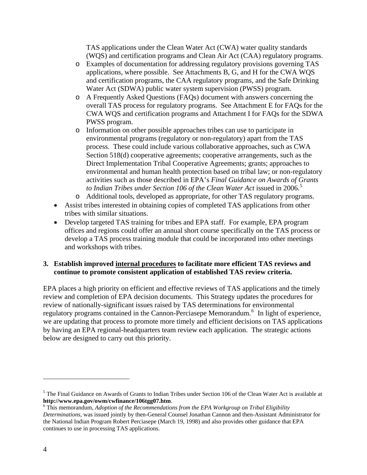TAS applications under the Clean Water Act (CWA) water quality standards (WQS) and certification programs and Clean Air Act (CAA) regulatory programs.

- o Examples of documentation for addressing regulatory provisions governing TAS applications, where possible. See Attachments B, G, and H for the CWA WQS and certification programs, the CAA regulatory programs, and the Safe Drinking Water Act (SDWA) public water system supervision (PWSS) program.
- o A Frequently Asked Questions (FAQs) document with answers concerning the overall TAS process for regulatory programs. See Attachment E for FAQs for the CWA WQS and certification programs and Attachment I for FAQs for the SDWA PWSS program.
- o Information on other possible approaches tribes can use to participate in environmental programs (regulatory or non-regulatory) apart from the TAS process. These could include various collaborative approaches, such as CWA Section 518(d) cooperative agreements; cooperative arrangements, such as the Direct Implementation Tribal Cooperative Agreements; grants; approaches to environmental and human health protection based on tribal law; or non-regulatory activities such as those described in EPA's *Final Guidance on Awards of Grants*  to Indian Tribes under Section 106 of the Clean Water Act issued in 2006.<sup>[5](#page-3-0)</sup>
- o Additional tools, developed as appropriate, for other TAS regulatory programs.
- Assist tribes interested in obtaining copies of completed TAS applications from other tribes with similar situations.
- Develop targeted TAS training for tribes and EPA staff. For example, EPA program offices and regions could offer an annual short course specifically on the TAS process or develop a TAS process training module that could be incorporated into other meetings and workshops with tribes.

# **3. Establish improved internal procedures to facilitate more efficient TAS reviews and continue to promote consistent application of established TAS review criteria.**

EPA places a high priority on efficient and effective reviews of TAS applications and the timely review and completion of EPA decision documents. This Strategy updates the procedures for review of nationally-significant issues raised by TAS determinations for environmental regulatory programs contained in the Cannon-Perciasepe Memorandum.<sup>[6](#page-3-1)</sup> In light of experience, we are updating that process to promote more timely and efficient decisions on TAS applications by having an EPA regional-headquarters team review each application. The strategic actions below are designed to carry out this priority.

<span id="page-3-0"></span><sup>&</sup>lt;sup>5</sup> The Final Guidance on Awards of Grants to Indian Tribes under Section 106 of the Clean Water Act is available at **http://www.epa.gov/owm/cwfinance/106tgg07.htm**. [6](http://www.epa.gov/owm/cwfinance/106tgg07.htm)

<span id="page-3-1"></span>This memorandum, *Adoption of the Recommendations from the EPA Workgroup on Tribal Eligibility Determinations*, was issued jointly by then-General Counsel Jonathan Cannon and then-Assistant Administrator for the National Indian Program Robert Perciasepe (March 19, 1998) and also provides other guidance that EPA continues to use in processing TAS applications.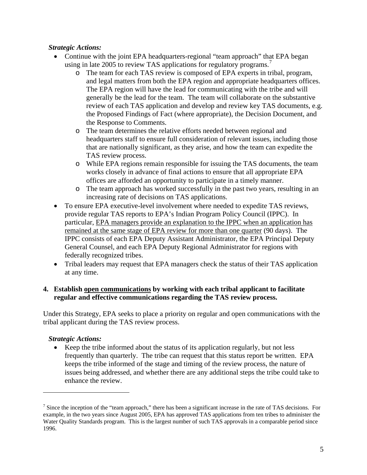# *Strategic Actions:*

- Continue with the joint EPA headquarters-regional "team approach" that EPA began using in late 2005 to review TAS applications for regulatory programs.<sup>[7](#page-4-0)</sup>
	- o The team for each TAS review is composed of EPA experts in tribal, program, and legal matters from both the EPA region and appropriate headquarters offices. The EPA region will have the lead for communicating with the tribe and will generally be the lead for the team. The team will collaborate on the substantive review of each TAS application and develop and review key TAS documents, e.g. the Proposed Findings of Fact (where appropriate), the Decision Document, and the Response to Comments.
	- o The team determines the relative efforts needed between regional and headquarters staff to ensure full consideration of relevant issues, including those that are nationally significant, as they arise, and how the team can expedite the TAS review process.
	- o While EPA regions remain responsible for issuing the TAS documents, the team works closely in advance of final actions to ensure that all appropriate EPA offices are afforded an opportunity to participate in a timely manner.
	- o The team approach has worked successfully in the past two years, resulting in an increasing rate of decisions on TAS applications.
- To ensure EPA executive-level involvement where needed to expedite TAS reviews, provide regular TAS reports to EPA's Indian Program Policy Council (IPPC). In particular, EPA managers provide an explanation to the IPPC when an application has remained at the same stage of EPA review for more than one quarter (90 days). The IPPC consists of each EPA Deputy Assistant Administrator, the EPA Principal Deputy General Counsel, and each EPA Deputy Regional Administrator for regions with federally recognized tribes.
- Tribal leaders may request that EPA managers check the status of their TAS application at any time.

# **4. Establish open communications by working with each tribal applicant to facilitate regular and effective communications regarding the TAS review process.**

Under this Strategy, EPA seeks to place a priority on regular and open communications with the tribal applicant during the TAS review process.

# *Strategic Actions:*

• Keep the tribe informed about the status of its application regularly, but not less frequently than quarterly. The tribe can request that this status report be written. EPA keeps the tribe informed of the stage and timing of the review process, the nature of issues being addressed, and whether there are any additional steps the tribe could take to enhance the review.

<span id="page-4-0"></span><sup>&</sup>lt;sup>7</sup> Since the inception of the "team approach," there has been a significant increase in the rate of TAS decisions. For example, in the two years since August 2005, EPA has approved TAS applications from ten tribes to administer the Water Quality Standards program. This is the largest number of such TAS approvals in a comparable period since 1996.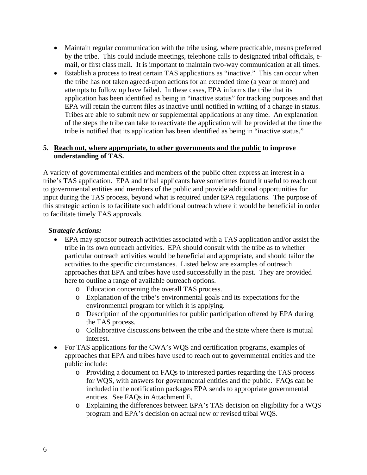- Maintain regular communication with the tribe using, where practicable, means preferred by the tribe. This could include meetings, telephone calls to designated tribal officials, email, or first class mail. It is important to maintain two-way communication at all times.
- Establish a process to treat certain TAS applications as "inactive." This can occur when the tribe has not taken agreed-upon actions for an extended time (a year or more) and attempts to follow up have failed. In these cases, EPA informs the tribe that its application has been identified as being in "inactive status" for tracking purposes and that EPA will retain the current files as inactive until notified in writing of a change in status. Tribes are able to submit new or supplemental applications at any time. An explanation of the steps the tribe can take to reactivate the application will be provided at the time the tribe is notified that its application has been identified as being in "inactive status."

### **5. Reach out, where appropriate, to other governments and the public to improve understanding of TAS.**

A variety of governmental entities and members of the public often express an interest in a tribe's TAS application. EPA and tribal applicants have sometimes found it useful to reach out to governmental entities and members of the public and provide additional opportunities for input during the TAS process, beyond what is required under EPA regulations. The purpose of this strategic action is to facilitate such additional outreach where it would be beneficial in order to facilitate timely TAS approvals.

# *Strategic Actions:*

- EPA may sponsor outreach activities associated with a TAS application and/or assist the tribe in its own outreach activities. EPA should consult with the tribe as to whether particular outreach activities would be beneficial and appropriate, and should tailor the activities to the specific circumstances. Listed below are examples of outreach approaches that EPA and tribes have used successfully in the past. They are provided here to outline a range of available outreach options.
	- o Education concerning the overall TAS process.
	- o Explanation of the tribe's environmental goals and its expectations for the environmental program for which it is applying.
	- o Description of the opportunities for public participation offered by EPA during the TAS process.
	- o Collaborative discussions between the tribe and the state where there is mutual interest.
- For TAS applications for the CWA's WQS and certification programs, examples of approaches that EPA and tribes have used to reach out to governmental entities and the public include:
	- o Providing a document on FAQs to interested parties regarding the TAS process for WQS, with answers for governmental entities and the public. FAQs can be included in the notification packages EPA sends to appropriate governmental entities. See FAQs in Attachment E.
	- o Explaining the differences between EPA's TAS decision on eligibility for a WQS program and EPA's decision on actual new or revised tribal WQS.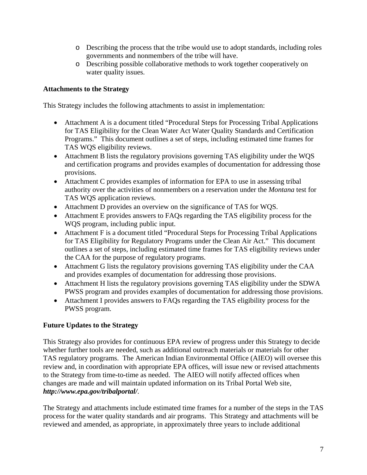- o Describing the process that the tribe would use to adopt standards, including roles governments and nonmembers of the tribe will have.
- o Describing possible collaborative methods to work together cooperatively on water quality issues.

# **Attachments to the Strategy**

This Strategy includes the following attachments to assist in implementation:

- Attachment A is a document titled "Procedural Steps for Processing Tribal Applications" for TAS Eligibility for the Clean Water Act Water Quality Standards and Certification Programs." This document outlines a set of steps, including estimated time frames for TAS WQS eligibility reviews.
- Attachment B lists the regulatory provisions governing TAS eligibility under the WQS and certification programs and provides examples of documentation for addressing those provisions.
- Attachment C provides examples of information for EPA to use in assessing tribal authority over the activities of nonmembers on a reservation under the *Montana* test for TAS WQS application reviews.
- Attachment D provides an overview on the significance of TAS for WQS.
- Attachment E provides answers to FAQs regarding the TAS eligibility process for the WQS program, including public input.
- Attachment F is a document titled "Procedural Steps for Processing Tribal Applications" for TAS Eligibility for Regulatory Programs under the Clean Air Act." This document outlines a set of steps, including estimated time frames for TAS eligibility reviews under the CAA for the purpose of regulatory programs.
- Attachment G lists the regulatory provisions governing TAS eligibility under the CAA and provides examples of documentation for addressing those provisions.
- Attachment H lists the regulatory provisions governing TAS eligibility under the SDWA PWSS program and provides examples of documentation for addressing those provisions.
- Attachment I provides answers to FAQs regarding the TAS eligibility process for the PWSS program.

# **Future Updates to the Strategy**

This Strategy also provides for continuous EPA review of progress under this Strategy to decide whether further tools are needed, such as additional outreach materials or materials for other TAS regulatory programs. The American Indian Environmental Office (AIEO) will oversee this review and, in coordination with appropriate EPA offices, will issue new or revised attachments to the Strategy from time-to-time as needed. The AIEO will notify affected offices when changes are made and will maintain updated information on its Tribal Portal Web site, *[http://www.epa.gov/tribalportal/](http://www.epa.gov/tribalportal)*.

The Strategy and attachments include estimated time frames for a number of the steps in the TAS process for the water quality standards and air programs. This Strategy and attachments will be reviewed and amended, as appropriate, in approximately three years to include additional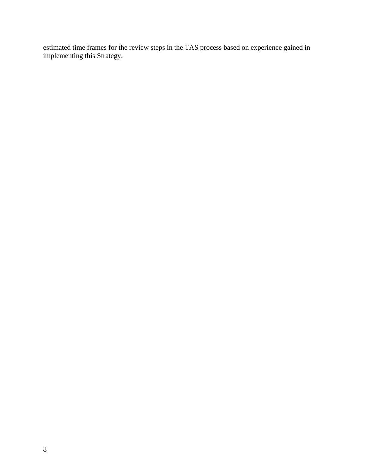estimated time frames for the review steps in the TAS process based on experience gained in implementing this Strategy.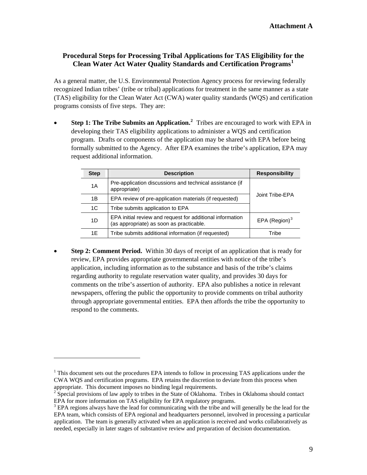## **Procedural Steps for Processing Tribal Applications for TAS Eligibility for the Clean Water Act Water Quality Standards and Certification Programs[1](#page-8-0)**

As a general matter, the U.S. Environmental Protection Agency process for reviewing federally recognized Indian tribes' (tribe or tribal) applications for treatment in the same manner as a state (TAS) eligibility for the Clean Water Act (CWA) water quality standards (WQS) and certification programs consists of five steps. They are:

• **Step 1: The Tribe Submits an Application.[2](#page-8-1)** Tribes are encouraged to work with EPA in developing their TAS eligibility applications to administer a WQS and certification program. Drafts or components of the application may be shared with EPA before being formally submitted to the Agency. After EPA examines the tribe's application, EPA may request additional information.

| <b>Step</b> | <b>Description</b>                                                                                    | <b>Responsibility</b> |
|-------------|-------------------------------------------------------------------------------------------------------|-----------------------|
| 1A          | Pre-application discussions and technical assistance (if<br>appropriate)                              |                       |
| 1Β          | EPA review of pre-application materials (if requested)                                                | Joint Tribe-EPA       |
| 1C          | Tribe submits application to EPA                                                                      |                       |
| 1D          | EPA initial review and request for additional information<br>(as appropriate) as soon as practicable. | EPA (Region) $3$      |
| 1Ε          | Tribe submits additional information (if requested)                                                   | Tribe                 |

• **Step 2: Comment Period.** Within 30 days of receipt of an application that is ready for review, EPA provides appropriate governmental entities with notice of the tribe's application, including information as to the substance and basis of the tribe's claims regarding authority to regulate reservation water quality, and provides 30 days for comments on the tribe's assertion of authority. EPA also publishes a notice in relevant newspapers, offering the public the opportunity to provide comments on tribal authority through appropriate governmental entities. EPA then affords the tribe the opportunity to respond to the comments.

<span id="page-8-0"></span><sup>&</sup>lt;sup>1</sup> This document sets out the procedures EPA intends to follow in processing TAS applications under the CWA WQS and certification programs. EPA retains the discretion to deviate from this process when appropriate. This document imposes no binding legal requirements.

<span id="page-8-1"></span><sup>&</sup>lt;sup>2</sup> Special provisions of law apply to tribes in the State of Oklahoma. Tribes in Oklahoma should contact EPA for more information on TAS eligibility for EPA regulatory programs.

<span id="page-8-2"></span> $3$  EPA regions always have the lead for communicating with the tribe and will generally be the lead for the EPA team, which consists of EPA regional and headquarters personnel, involved in processing a particular application. The team is generally activated when an application is received and works collaboratively as needed, especially in later stages of substantive review and preparation of decision documentation.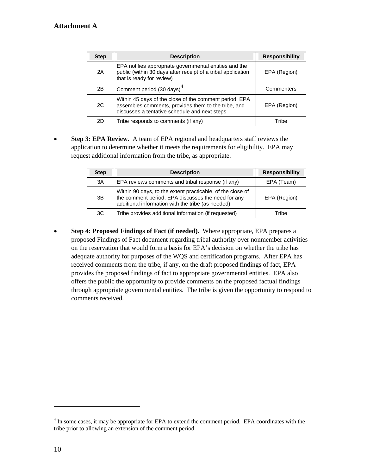| <b>Step</b> | <b>Description</b>                                                                                                                                             | <b>Responsibility</b> |
|-------------|----------------------------------------------------------------------------------------------------------------------------------------------------------------|-----------------------|
| 2A          | EPA notifies appropriate governmental entities and the<br>public (within 30 days after receipt of a tribal application<br>that is ready for review)            | EPA (Region)          |
| 2B          | Comment period (30 days) <sup>4</sup>                                                                                                                          | Commenters            |
| 2C          | Within 45 days of the close of the comment period, EPA<br>assembles comments, provides them to the tribe, and<br>discusses a tentative schedule and next steps | EPA (Region)          |
| 2D          | Tribe responds to comments (if any)                                                                                                                            | Tribe                 |

 application to determine whether it meets the requirements for eligibility. EPA may • **Step 3: EPA Review.** A team of EPA regional and headquarters staff reviews the request additional information from the tribe, as appropriate.

| <b>Step</b> | <b>Description</b>                                                                                                                                                    | <b>Responsibility</b> |
|-------------|-----------------------------------------------------------------------------------------------------------------------------------------------------------------------|-----------------------|
| 3A          | EPA reviews comments and tribal response (if any)                                                                                                                     | EPA (Team)            |
| 3B          | Within 90 days, to the extent practicable, of the close of<br>the comment period, EPA discusses the need for any<br>additional information with the tribe (as needed) | EPA (Region)          |
| 3C          | Tribe provides additional information (if requested)                                                                                                                  | Tribe                 |

• **Step 4: Proposed Findings of Fact (if needed).** Where appropriate, EPA prepares a proposed Findings of Fact document regarding tribal authority over nonmember activities on the reservation that would form a basis for EPA's decision on whether the tribe has adequate authority for purposes of the WQS and certification programs. After EPA has received comments from the tribe, if any, on the draft proposed findings of fact, EPA provides the proposed findings of fact to appropriate governmental entities. EPA also offers the public the opportunity to provide comments on the proposed factual findings through appropriate governmental entities. The tribe is given the opportunity to respond to comments received.

<span id="page-9-0"></span><sup>&</sup>lt;sup>4</sup> In some cases, it may be appropriate for EPA to extend the comment period. EPA coordinates with the tribe prior to allowing an extension of the comment period.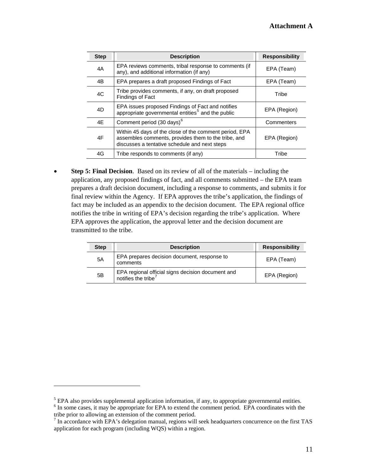| <b>Step</b> | <b>Description</b>                                                                                                                                             | <b>Responsibility</b> |
|-------------|----------------------------------------------------------------------------------------------------------------------------------------------------------------|-----------------------|
| 4A          | EPA reviews comments, tribal response to comments (if<br>any), and additional information (if any)                                                             | EPA (Team)            |
| 4B          | EPA prepares a draft proposed Findings of Fact                                                                                                                 | EPA (Team)            |
| 4C          | Tribe provides comments, if any, on draft proposed<br><b>Findings of Fact</b>                                                                                  | Tribe                 |
| 4D          | EPA issues proposed Findings of Fact and notifies<br>appropriate governmental entities <sup>5</sup> and the public                                             | EPA (Region)          |
| 4E          | Comment period (30 days) <sup>6</sup>                                                                                                                          | Commenters            |
| 4F          | Within 45 days of the close of the comment period, EPA<br>assembles comments, provides them to the tribe, and<br>discusses a tentative schedule and next steps | EPA (Region)          |
| 4G          | Tribe responds to comments (if any)                                                                                                                            | Tribe                 |

• **Step 5: Final Decision**. Based on its review of all of the materials – including the application, any proposed findings of fact, and all comments submitted – the EPA team prepares a draft decision document, including a response to comments, and submits it for final review within the Agency. If EPA approves the tribe's application, the findings of fact may be included as an appendix to the decision document. The EPA regional office notifies the tribe in writing of EPA's decision regarding the tribe's application. Where EPA approves the application, the approval letter and the decision document are transmitted to the tribe.

| Step | <b>Description</b>                                                                   | <b>Responsibility</b> |
|------|--------------------------------------------------------------------------------------|-----------------------|
| 5A   | EPA prepares decision document, response to<br>comments                              | EPA (Team)            |
| 5B   | EPA regional official signs decision document and<br>notifies the tribe <sup>7</sup> | EPA (Region)          |

<span id="page-10-0"></span> $<sup>5</sup>$  EPA also provides supplemental application information, if any, to appropriate governmental entities.</sup>

<span id="page-10-1"></span><sup>&</sup>lt;sup>6</sup> In some cases, it may be appropriate for EPA to extend the comment period. EPA coordinates with the tribe prior to allowing an extension of the comment period.

<span id="page-10-2"></span> $<sup>7</sup>$  In accordance with EPA's delegation manual, regions will seek headquarters concurrence on the first TAS</sup> application for each program (including WQS) within a region.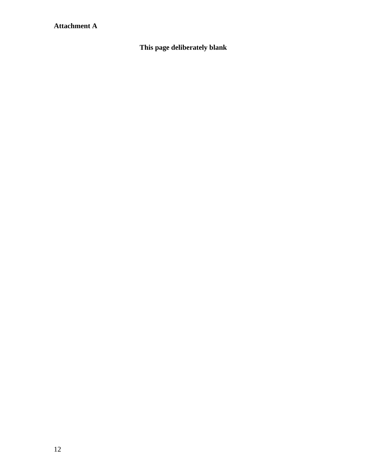# **Attachment A**

**This page deliberately blank**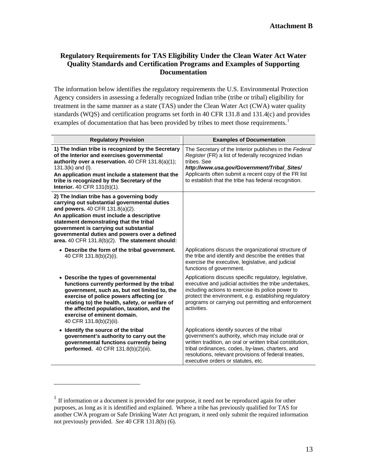### **Regulatory Requirements for TAS Eligibility Under the Clean Water Act Water Quality Standards and Certification Programs and Examples of Supporting Documentation**

The information below identifies the regulatory requirements the U.S. Environmental Protection Agency considers in assessing a federally recognized Indian tribe (tribe or tribal) eligibility for treatment in the same manner as a state (TAS) under the Clean Water Act (CWA) water quality standards (WQS) and certification programs set forth in 40 CFR 131.8 and 131.4(c) and provides examples of documentation that has been provided by tribes to meet those requirements.<sup>1</sup>

| <b>Regulatory Provision</b>                                                                                                                                                                                                                                                                                                                                       | <b>Examples of Documentation</b>                                                                                                                                                                                                                                                                                  |
|-------------------------------------------------------------------------------------------------------------------------------------------------------------------------------------------------------------------------------------------------------------------------------------------------------------------------------------------------------------------|-------------------------------------------------------------------------------------------------------------------------------------------------------------------------------------------------------------------------------------------------------------------------------------------------------------------|
| 1) The Indian tribe is recognized by the Secretary<br>of the Interior and exercises governmental<br>authority over a reservation. 40 CFR 131.8(a)(1);<br>$131.3(k)$ and (I).<br>An application must include a statement that the<br>tribe is recognized by the Secretary of the<br><b>Interior.</b> 40 CFR 131(b)(1).                                             | The Secretary of the Interior publishes in the Federal<br>Register (FR) a list of federally recognized Indian<br>tribes. See<br>http://www.usa.gov/Government/Tribal_Sites/<br>Applicants often submit a recent copy of the FR list<br>to establish that the tribe has federal recognition.                       |
| 2) The Indian tribe has a governing body<br>carrying out substantial governmental duties<br>and powers. 40 CFR 131.8(a)(2).<br>An application must include a descriptive<br>statement demonstrating that the tribal<br>government is carrying out substantial<br>governmental duties and powers over a defined<br>area. 40 CFR 131.8(b)(2). The statement should: |                                                                                                                                                                                                                                                                                                                   |
| • Describe the form of the tribal government.<br>40 CFR 131.8(b)(2)(i).                                                                                                                                                                                                                                                                                           | Applications discuss the organizational structure of<br>the tribe and identify and describe the entities that<br>exercise the executive, legislative, and judicial<br>functions of government.                                                                                                                    |
| • Describe the types of governmental<br>functions currently performed by the tribal<br>government, such as, but not limited to, the<br>exercise of police powers affecting (or<br>relating to) the health, safety, or welfare of<br>the affected population, taxation, and the<br>exercise of eminent domain.<br>40 CFR 131.8(b)(2)(ii).                          | Applications discuss specific regulatory, legislative,<br>executive and judicial activities the tribe undertakes,<br>including actions to exercise its police power to<br>protect the environment, e.g. establishing regulatory<br>programs or carrying out permitting and enforcement<br>activities.             |
| • Identify the source of the tribal<br>government's authority to carry out the<br>governmental functions currently being<br>performed. 40 CFR 131.8(b)(2)(iii).                                                                                                                                                                                                   | Applications identify sources of the tribal<br>government's authority, which may include oral or<br>written tradition, an oral or written tribal constitution,<br>tribal ordinances, codes, by-laws, charters, and<br>resolutions, relevant provisions of federal treaties,<br>executive orders or statutes, etc. |

<span id="page-12-0"></span> $1$  If information or a document is provided for one purpose, it need not be reproduced again for other purposes, as long as it is identified and explained. Where a tribe has previously qualified for TAS for another CWA program or Safe Drinking Water Act program, it need only submit the required information not previously provided. *See* 40 CFR 131.8(b) (6).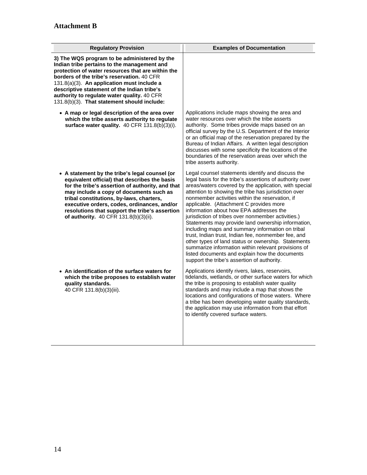| <b>Regulatory Provision</b>                                                                                                                                                                                                                                                                                                                                                               | <b>Examples of Documentation</b>                                                                                                                                                                                                                                                                                                                                                                                                                                                                                                                                                                                                                                                                                                                                                                              |
|-------------------------------------------------------------------------------------------------------------------------------------------------------------------------------------------------------------------------------------------------------------------------------------------------------------------------------------------------------------------------------------------|---------------------------------------------------------------------------------------------------------------------------------------------------------------------------------------------------------------------------------------------------------------------------------------------------------------------------------------------------------------------------------------------------------------------------------------------------------------------------------------------------------------------------------------------------------------------------------------------------------------------------------------------------------------------------------------------------------------------------------------------------------------------------------------------------------------|
| 3) The WQS program to be administered by the<br>Indian tribe pertains to the management and<br>protection of water resources that are within the<br>borders of the tribe's reservation. 40 CFR<br>131.8(a)(3). An application must include a<br>descriptive statement of the Indian tribe's<br>authority to regulate water quality. 40 CFR<br>131.8(b)(3). That statement should include: |                                                                                                                                                                                                                                                                                                                                                                                                                                                                                                                                                                                                                                                                                                                                                                                                               |
| • A map or legal description of the area over<br>which the tribe asserts authority to regulate<br>surface water quality. 40 CFR 131.8(b)(3)(i).                                                                                                                                                                                                                                           | Applications include maps showing the area and<br>water resources over which the tribe asserts<br>authority. Some tribes provide maps based on an<br>official survey by the U.S. Department of the Interior<br>or an official map of the reservation prepared by the<br>Bureau of Indian Affairs. A written legal description<br>discusses with some specificity the locations of the<br>boundaries of the reservation areas over which the<br>tribe asserts authority.                                                                                                                                                                                                                                                                                                                                       |
| • A statement by the tribe's legal counsel (or<br>equivalent official) that describes the basis<br>for the tribe's assertion of authority, and that<br>may include a copy of documents such as<br>tribal constitutions, by-laws, charters,<br>executive orders, codes, ordinances, and/or<br>resolutions that support the tribe's assertion<br>of authority. 40 CFR 131.8(b)(3)(ii).      | Legal counsel statements identify and discuss the<br>legal basis for the tribe's assertions of authority over<br>areas/waters covered by the application, with special<br>attention to showing the tribe has jurisdiction over<br>nonmember activities within the reservation, if<br>applicable. (Attachment C provides more<br>information about how EPA addresses the<br>jurisdiction of tribes over nonmember activities.)<br>Statements may provide land ownership information,<br>including maps and summary information on tribal<br>trust, Indian trust, Indian fee, nonmember fee, and<br>other types of land status or ownership. Statements<br>summarize information within relevant provisions of<br>listed documents and explain how the documents<br>support the tribe's assertion of authority. |
| • An identification of the surface waters for<br>which the tribe proposes to establish water<br>quality standards.<br>40 CFR 131.8(b)(3)(iii).                                                                                                                                                                                                                                            | Applications identify rivers, lakes, reservoirs,<br>tidelands, wetlands, or other surface waters for which<br>the tribe is proposing to establish water quality<br>standards and may include a map that shows the<br>locations and configurations of those waters. Where<br>a tribe has been developing water quality standards,<br>the application may use information from that effort<br>to identify covered surface waters.                                                                                                                                                                                                                                                                                                                                                                               |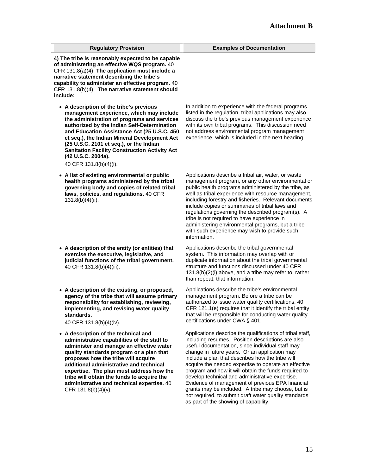| <b>Regulatory Provision</b>                                                                                                                                                                                                                                                                                                                                                                                                         | <b>Examples of Documentation</b>                                                                                                                                                                                                                                                                                                                                                                                                                                                                                                                                                                                                                       |
|-------------------------------------------------------------------------------------------------------------------------------------------------------------------------------------------------------------------------------------------------------------------------------------------------------------------------------------------------------------------------------------------------------------------------------------|--------------------------------------------------------------------------------------------------------------------------------------------------------------------------------------------------------------------------------------------------------------------------------------------------------------------------------------------------------------------------------------------------------------------------------------------------------------------------------------------------------------------------------------------------------------------------------------------------------------------------------------------------------|
| 4) The tribe is reasonably expected to be capable<br>of administering an effective WQS program. 40<br>CFR 131.8(a)(4). The application must include a<br>narrative statement describing the tribe's<br>capability to administer an effective program. 40<br>CFR 131.8(b)(4). The narrative statement should<br>include:                                                                                                             |                                                                                                                                                                                                                                                                                                                                                                                                                                                                                                                                                                                                                                                        |
| • A description of the tribe's previous<br>management experience, which may include<br>the administration of programs and services<br>authorized by the Indian Self-Determination<br>and Education Assistance Act (25 U.S.C. 450<br>et seq.), the Indian Mineral Development Act<br>(25 U.S.C. 2101 et seq.), or the Indian<br><b>Sanitation Facility Construction Activity Act</b><br>(42 U.S.C. 2004a).<br>40 CFR 131.8(b)(4)(i). | In addition to experience with the federal programs<br>listed in the regulation, tribal applications may also<br>discuss the tribe's previous management experience<br>with its own tribal programs. This discussion need<br>not address environmental program management<br>experience, which is included in the next heading.                                                                                                                                                                                                                                                                                                                        |
| • A list of existing environmental or public<br>health programs administered by the tribal<br>governing body and copies of related tribal<br>laws, policies, and regulations. 40 CFR<br>$131.8(b)(4)(ii)$ .                                                                                                                                                                                                                         | Applications describe a tribal air, water, or waste<br>management program, or any other environmental or<br>public health programs administered by the tribe, as<br>well as tribal experience with resource management,<br>including forestry and fisheries. Relevant documents<br>include copies or summaries of tribal laws and<br>regulations governing the described program(s). A<br>tribe is not required to have experience in<br>administering environmental programs, but a tribe<br>with such experience may wish to provide such<br>information.                                                                                            |
| • A description of the entity (or entities) that<br>exercise the executive, legislative, and<br>judicial functions of the tribal government.<br>40 CFR 131.8(b)(4)(iii).                                                                                                                                                                                                                                                            | Applications describe the tribal governmental<br>system. This information may overlap with or<br>duplicate information about the tribal governmental<br>structure and functions discussed under 40 CFR<br>131.8(b)(2)(i) above, and a tribe may refer to, rather<br>than repeat, that information.                                                                                                                                                                                                                                                                                                                                                     |
| • A description of the existing, or proposed,<br>agency of the tribe that will assume primary<br>responsibility for establishing, reviewing,<br>implementing, and revising water quality<br>standards.<br>40 CFR 131.8(b)(4)(iv).                                                                                                                                                                                                   | Applications describe the tribe's environmental<br>management program. Before a tribe can be<br>authorized to issue water quality certifications, 40<br>CFR 121.1(e) requires that it identify the tribal entity<br>that will be responsible for conducting water quality<br>certifications under CWA § 401.                                                                                                                                                                                                                                                                                                                                           |
| • A description of the technical and<br>administrative capabilities of the staff to<br>administer and manage an effective water<br>quality standards program or a plan that<br>proposes how the tribe will acquire<br>additional administrative and technical<br>expertise. The plan must address how the<br>tribe will obtain the funds to acquire the<br>administrative and technical expertise. 40<br>CFR 131.8(b)(4)(v).        | Applications describe the qualifications of tribal staff,<br>including resumes. Position descriptions are also<br>useful documentation, since individual staff may<br>change in future years. Or an application may<br>include a plan that describes how the tribe will<br>acquire the needed expertise to operate an effective<br>program and how it will obtain the funds required to<br>develop technical and administrative expertise.<br>Evidence of management of previous EPA financial<br>grants may be included. A tribe may choose, but is<br>not required, to submit draft water quality standards<br>as part of the showing of capability. |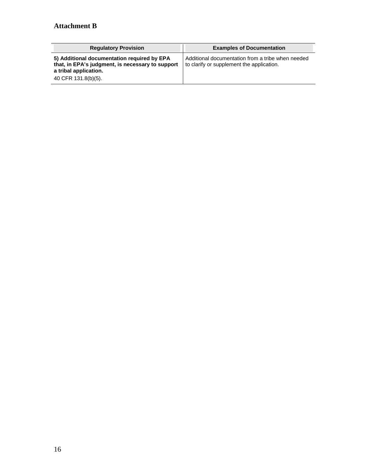| <b>Regulatory Provision</b>                                                                                                                     | <b>Examples of Documentation</b>                                                               |
|-------------------------------------------------------------------------------------------------------------------------------------------------|------------------------------------------------------------------------------------------------|
| 5) Additional documentation required by EPA<br>that, in EPA's judgment, is necessary to support<br>a tribal application.<br>40 CFR 131.8(b)(5). | Additional documentation from a tribe when needed<br>to clarify or supplement the application. |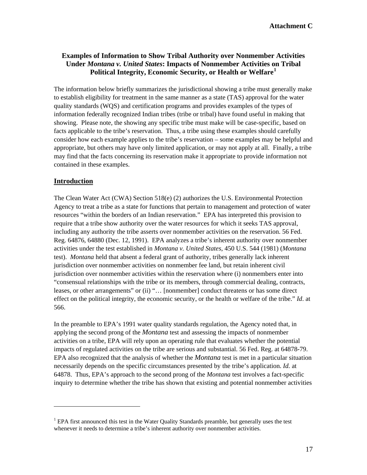### **Examples of Information to Show Tribal Authority over Nonmember Activities Under** *Montana v. United States***: Impacts of Nonmember Activities on Tribal Political Integrity, Economic Security, or Health or Welfare[1](#page-16-0)**

The information below briefly summarizes the jurisdictional showing a tribe must generally make to establish eligibility for treatment in the same manner as a state (TAS) approval for the water quality standards (WQS) and certification programs and provides examples of the types of information federally recognized Indian tribes (tribe or tribal) have found useful in making that showing. Please note, the showing any specific tribe must make will be case-specific, based on facts applicable to the tribe's reservation. Thus, a tribe using these examples should carefully consider how each example applies to the tribe's reservation – some examples may be helpful and appropriate, but others may have only limited application, or may not apply at all. Finally, a tribe may find that the facts concerning its reservation make it appropriate to provide information not contained in these examples.

### **Introduction**

The Clean Water Act (CWA) Section 518(e) (2) authorizes the U.S. Environmental Protection Agency to treat a tribe as a state for functions that pertain to management and protection of water resources "within the borders of an Indian reservation." EPA has interpreted this provision to require that a tribe show authority over the water resources for which it seeks TAS approval, including any authority the tribe asserts over nonmember activities on the reservation. 56 Fed. Reg. 64876, 64880 (Dec. 12, 1991). EPA analyzes a tribe's inherent authority over nonmember activities under the test established in *Montana v. United States*, 450 U.S. 544 (1981) (*Montana*  test). *Montana* held that absent a federal grant of authority, tribes generally lack inherent jurisdiction over nonmember activities on nonmember fee land, but retain inherent civil jurisdiction over nonmember activities within the reservation where (i) nonmembers enter into "consensual relationships with the tribe or its members, through commercial dealing, contracts, leases, or other arrangements" or (ii) "… [nonmember] conduct threatens or has some direct effect on the political integrity, the economic security, or the health or welfare of the tribe." *Id*. at 566.

In the preamble to EPA's 1991 water quality standards regulation, the Agency noted that, in applying the second prong of the *Montana* test and assessing the impacts of nonmember activities on a tribe, EPA will rely upon an operating rule that evaluates whether the potential impacts of regulated activities on the tribe are serious and substantial. 56 Fed. Reg. at 64878-79. EPA also recognized that the analysis of whether the *Montana* test is met in a particular situation necessarily depends on the specific circumstances presented by the tribe's application. *Id.* at 64878. Thus, EPA's approach to the second prong of the *Montana* test involves a fact-specific inquiry to determine whether the tribe has shown that existing and potential nonmember activities

<span id="page-16-0"></span><sup>&</sup>lt;sup>1</sup> EPA first announced this test in the Water Quality Standards preamble, but generally uses the test whenever it needs to determine a tribe's inherent authority over nonmember activities.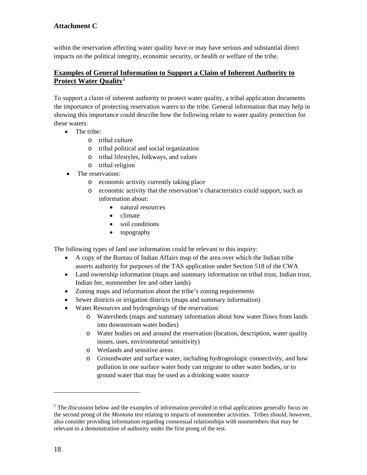# **Attachment C**

within the reservation affecting water quality have or may have serious and substantial direct impacts on the political integrity, economic security, or health or welfare of the tribe.

## **Examples of General Information to Support a Claim of Inherent Authority to Protect Water Quality[2](#page-17-0)**

To support a claim of inherent authority to protect water quality, a tribal application documents the importance of protecting reservation waters to the tribe. General information that may help in showing this importance could describe how the following relate to water quality protection for these waters:

- The tribe:
	- o tribal culture
	- o tribal political and social organization
	- o tribal lifestyles, folkways, and values
	- o tribal religion
- The reservation:
	- o economic activity currently taking place
	- o economic activity that the reservation's characteristics could support, such as information about:
		- natural resources
		- climate
		- soil conditions
		- topography

The following types of land use information could be relevant to this inquiry:

- A copy of the Bureau of Indian Affairs map of the area over which the Indian tribe asserts authority for purposes of the TAS application under Section 518 of the CWA
- Land ownership information (maps and summary information on tribal trust, Indian trust, Indian fee, nonmember fee and other lands)
- Zoning maps and information about the tribe's zoning requirements
- Sewer districts or irrigation districts (maps and summary information)
- Water Resources and hydrogeology of the reservation:
	- o Watersheds (maps and summary information about how water flows from lands into downstream water bodies)
	- o Water bodies on and around the reservation (location, description, water quality issues, uses, environmental sensitivity)
	- o Wetlands and sensitive areas
	- o Groundwater and surface water, including hydrogeologic connectivity, and how pollution in one surface water body can migrate to other water bodies, or to ground water that may be used as a drinking water source

<span id="page-17-0"></span> $2<sup>2</sup>$  The discussion below and the examples of information provided in tribal applications generally focus on the second prong of the *Montana* test relating to impacts of nonmember activities. Tribes should, however, also consider providing information regarding consensual relationships with nonmembers that may be relevant to a demonstration of authority under the first prong of the test.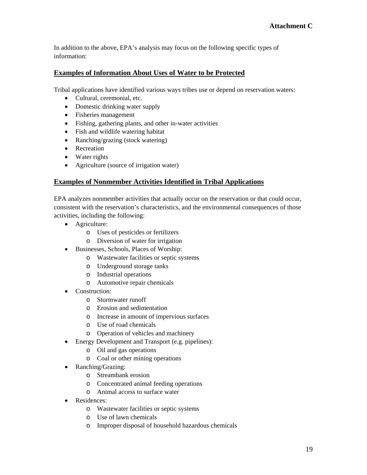In addition to the above, EPA's analysis may focus on the following specific types of information:

### **Examples of Information About Uses of Water to be Protected**

Tribal applications have identified various ways tribes use or depend on reservation waters:

- Cultural, ceremonial, etc.
- Domestic drinking water supply
- Fisheries management
- Fishing, gathering plants, and other in-water activities
- Fish and wildlife watering habitat
- Ranching/grazing (stock watering)
- Recreation
- Water rights
- Agriculture (source of irrigation water)

# **Examples of Nonmember Activities Identified in Tribal Applications**

EPA analyzes nonmember activities that actually occur on the reservation or that could occur, consistent with the reservation's characteristics, and the environmental consequences of those activities, including the following:

- Agriculture:
	- o Uses of pesticides or fertilizers
	- o Diversion of water for irrigation
- Businesses, Schools, Places of Worship:
	- o Wastewater facilities or septic systems
	- o Underground storage tanks
	- o Industrial operations
	- o Automotive repair chemicals
- Construction:
	- o Stormwater runoff
	- o Erosion and sedimentation
	- o Increase in amount of impervious surfaces
	- o Use of road chemicals
	- o Operation of vehicles and machinery
- Energy Development and Transport (e.g. pipelines):
	- o Oil and gas operations
	- o Coal or other mining operations
- Ranching/Grazing:
	- o Streambank erosion
	- o Concentrated animal feeding operations
	- o Animal access to surface water
- Residences:
	- o Wastewater facilities or septic systems
	- o Use of lawn chemicals
	- o Improper disposal of household hazardous chemicals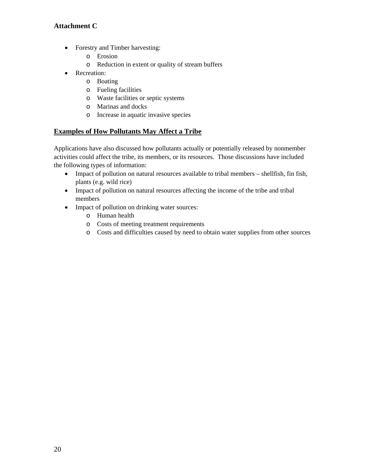# **Attachment C**

- Forestry and Timber harvesting:
	- o Erosion
	- o Reduction in extent or quality of stream buffers
- Recreation:
	- o Boating
	- o Fueling facilities
	- o Waste facilities or septic systems
	- o Marinas and docks
	- o Increase in aquatic invasive species

# **Examples of How Pollutants May Affect a Tribe**

Applications have also discussed how pollutants actually or potentially released by nonmember activities could affect the tribe, its members, or its resources. Those discussions have included the following types of information:

- Impact of pollution on natural resources available to tribal members shellfish, fin fish, plants (e.g. wild rice)
- Impact of pollution on natural resources affecting the income of the tribe and tribal members
- Impact of pollution on drinking water sources:
	- o Human health
	- o Costs of meeting treatment requirements
	- o Costs and difficulties caused by need to obtain water supplies from other sources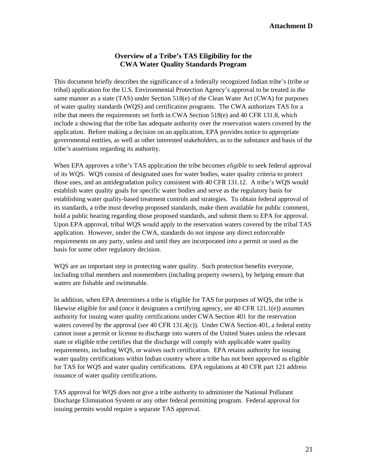### **Attachment D**

### **Overview of a Tribe's TAS Eligibility for the CWA Water Quality Standards Program**

This document briefly describes the significance of a federally recognized Indian tribe's (tribe or tribal) application for the U.S. Environmental Protection Agency's approval to be treated in the same manner as a state (TAS) under Section 518(e) of the Clean Water Act (CWA) for purposes of water quality standards (WQS) and certification programs. The CWA authorizes TAS for a tribe that meets the requirements set forth in CWA Section 518(e) and 40 CFR 131.8, which include a showing that the tribe has adequate authority over the reservation waters covered by the application. Before making a decision on an application, EPA provides notice to appropriate governmental entities, as well as other interested stakeholders, as to the substance and basis of the tribe's assertions regarding its authority.

When EPA approves a tribe's TAS application the tribe becomes *eligible* to seek federal approval of its WQS. WQS consist of designated uses for water bodies, water quality criteria to protect those uses, and an antidegradation policy consistent with 40 CFR 131.12. A tribe's WQS would establish water quality goals for specific water bodies and serve as the regulatory basis for establishing water quality-based treatment controls and strategies. To obtain federal approval of its standards, a tribe must develop proposed standards, make them available for public comment, hold a public hearing regarding those proposed standards, and submit them to EPA for approval. Upon EPA approval, tribal WQS would apply to the reservation waters covered by the tribal TAS application. However, under the CWA, standards do not impose any direct enforceable requirements on any party, unless and until they are incorporated into a permit or used as the basis for some other regulatory decision.

WQS are an important step in protecting water quality. Such protection benefits everyone, including tribal members and nonmembers (including property owners), by helping ensure that waters are fishable and swimmable.

In addition, when EPA determines a tribe is eligible for TAS for purposes of WQS, the tribe is likewise eligible for and (once it designates a certifying agency, *see* 40 CFR 121.1(e)) assumes authority for issuing water quality certifications under CWA Section 401 for the reservation waters covered by the approval (*see* 40 CFR 131.4(c)). Under CWA Section 401, a federal entity cannot issue a permit or license to discharge into waters of the United States unless the relevant state or eligible tribe certifies that the discharge will comply with applicable water quality requirements, including WQS, or waives such certification. EPA retains authority for issuing water quality certifications within Indian country where a tribe has not been approved as eligible for TAS for WQS and water quality certifications. EPA regulations at 40 CFR part 121 address issuance of water quality certifications.

TAS approval for WQS does not give a tribe authority to administer the National Pollutant Discharge Elimination System or any other federal permitting program. Federal approval for issuing permits would require a separate TAS approval.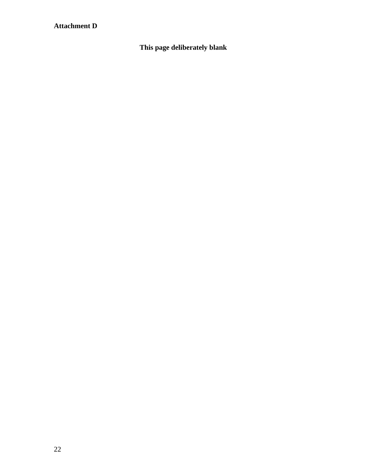# **Attachment D**

**This page deliberately blank**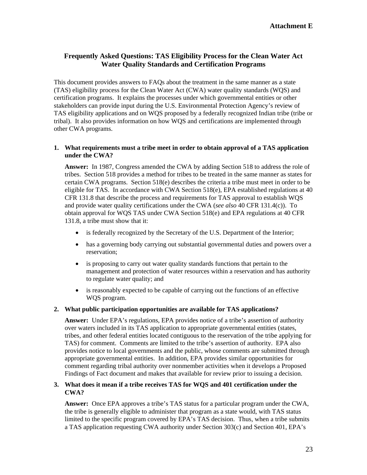### **Frequently Asked Questions: TAS Eligibility Process for the Clean Water Act Water Quality Standards and Certification Programs**

This document provides answers to FAQs about the treatment in the same manner as a state (TAS) eligibility process for the Clean Water Act (CWA) water quality standards (WQS) and certification programs. It explains the processes under which governmental entities or other stakeholders can provide input during the U.S. Environmental Protection Agency's review of TAS eligibility applications and on WQS proposed by a federally recognized Indian tribe (tribe or tribal). It also provides information on how WQS and certifications are implemented through other CWA programs.

#### **1. What requirements must a tribe meet in order to obtain approval of a TAS application under the CWA?**

**Answer:** In 1987, Congress amended the CWA by adding Section 518 to address the role of tribes. Section 518 provides a method for tribes to be treated in the same manner as states for certain CWA programs. Section 518(e) describes the criteria a tribe must meet in order to be eligible for TAS. In accordance with CWA Section 518(e), EPA established regulations at 40 CFR 131.8 that describe the process and requirements for TAS approval to establish WQS and provide water quality certifications under the CWA (*see also* 40 CFR 131.4(c)). To obtain approval for WQS TAS under CWA Section 518(e) and EPA regulations at 40 CFR 131.8, a tribe must show that it:

- is federally recognized by the Secretary of the U.S. Department of the Interior;
- has a governing body carrying out substantial governmental duties and powers over a reservation;
- is proposing to carry out water quality standards functions that pertain to the management and protection of water resources within a reservation and has authority to regulate water quality; and
- is reasonably expected to be capable of carrying out the functions of an effective WQS program.

#### **2. What public participation opportunities are available for TAS applications?**

**Answer:** Under EPA's regulations, EPA provides notice of a tribe's assertion of authority over waters included in its TAS application to appropriate governmental entities (states, tribes, and other federal entities located contiguous to the reservation of the tribe applying for TAS) for comment. Comments are limited to the tribe's assertion of authority. EPA also provides notice to local governments and the public, whose comments are submitted through appropriate governmental entities. In addition, EPA provides similar opportunities for comment regarding tribal authority over nonmember activities when it develops a Proposed Findings of Fact document and makes that available for review prior to issuing a decision.

### **3. What does it mean if a tribe receives TAS for WQS and 401 certification under the CWA?**

**Answer:** Once EPA approves a tribe's TAS status for a particular program under the CWA, the tribe is generally eligible to administer that program as a state would, with TAS status limited to the specific program covered by EPA's TAS decision. Thus, when a tribe submits a TAS application requesting CWA authority under Section 303(c) and Section 401, EPA's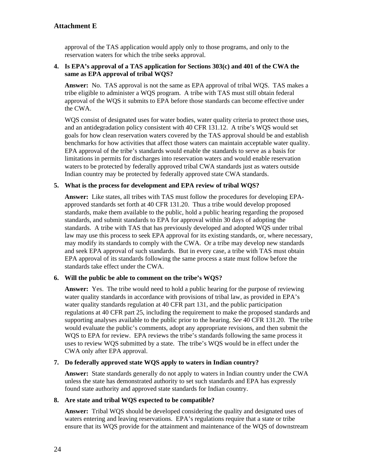## **Attachment E**

approval of the TAS application would apply only to those programs, and only to the reservation waters for which the tribe seeks approval.

#### **4. Is EPA's approval of a TAS application for Sections 303(c) and 401 of the CWA the same as EPA approval of tribal WQS?**

**Answer:** No. TAS approval is not the same as EPA approval of tribal WQS. TAS makes a tribe eligible to administer a WQS program. A tribe with TAS must still obtain federal approval of the WQS it submits to EPA before those standards can become effective under the CWA.

WOS consist of designated uses for water bodies, water quality criteria to protect those uses, and an antidegradation policy consistent with 40 CFR 131.12. A tribe's WQS would set goals for how clean reservation waters covered by the TAS approval should be and establish benchmarks for how activities that affect those waters can maintain acceptable water quality. EPA approval of the tribe's standards would enable the standards to serve as a basis for limitations in permits for discharges into reservation waters and would enable reservation waters to be protected by federally approved tribal CWA standards just as waters outside Indian country may be protected by federally approved state CWA standards.

#### **5. What is the process for development and EPA review of tribal WQS?**

**Answer:** Like states, all tribes with TAS must follow the procedures for developing EPAapproved standards set forth at 40 CFR 131.20. Thus a tribe would develop proposed standards, make them available to the public, hold a public hearing regarding the proposed standards, and submit standards to EPA for approval within 30 days of adopting the standards. A tribe with TAS that has previously developed and adopted WQS under tribal law may use this process to seek EPA approval for its existing standards, or, where necessary, may modify its standards to comply with the CWA. Or a tribe may develop new standards and seek EPA approval of such standards. But in every case, a tribe with TAS must obtain EPA approval of its standards following the same process a state must follow before the standards take effect under the CWA.

#### **6. Will the public be able to comment on the tribe's WQS?**

**Answer:** Yes. The tribe would need to hold a public hearing for the purpose of reviewing water quality standards in accordance with provisions of tribal law, as provided in EPA's water quality standards regulation at 40 CFR part 131, and the public participation regulations at 40 CFR part 25, including the requirement to make the proposed standards and supporting analyses available to the public prior to the hearing. *See* 40 CFR 131.20. The tribe would evaluate the public's comments, adopt any appropriate revisions, and then submit the WQS to EPA for review. EPA reviews the tribe's standards following the same process it uses to review WQS submitted by a state. The tribe's WQS would be in effect under the CWA only after EPA approval.

#### **7. Do federally approved state WQS apply to waters in Indian country?**

**Answer:** State standards generally do not apply to waters in Indian country under the CWA unless the state has demonstrated authority to set such standards and EPA has expressly found state authority and approved state standards for Indian country.

### **8. Are state and tribal WQS expected to be compatible?**

**Answer:** Tribal WQS should be developed considering the quality and designated uses of waters entering and leaving reservations. EPA's regulations require that a state or tribe ensure that its WQS provide for the attainment and maintenance of the WQS of downstream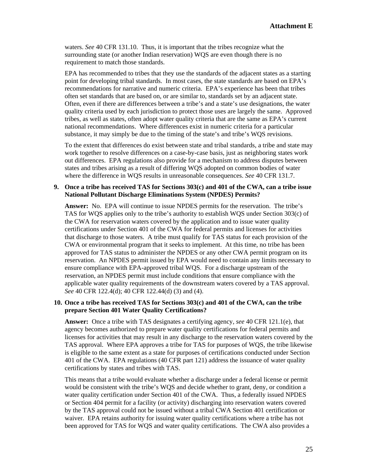waters. *See* 40 CFR 131.10. Thus, it is important that the tribes recognize what the surrounding state (or another Indian reservation) WQS are even though there is no requirement to match those standards.

EPA has recommended to tribes that they use the standards of the adjacent states as a starting point for developing tribal standards. In most cases, the state standards are based on EPA's recommendations for narrative and numeric criteria. EPA's experience has been that tribes often set standards that are based on, or are similar to, standards set by an adjacent state. Often, even if there are differences between a tribe's and a state's use designations, the water quality criteria used by each jurisdiction to protect those uses are largely the same. Approved tribes, as well as states, often adopt water quality criteria that are the same as EPA's current national recommendations. Where differences exist in numeric criteria for a particular substance, it may simply be due to the timing of the state's and tribe's WQS revisions.

To the extent that differences do exist between state and tribal standards, a tribe and state may work together to resolve differences on a case-by-case basis, just as neighboring states work out differences. EPA regulations also provide for a mechanism to address disputes between states and tribes arising as a result of differing WQS adopted on common bodies of water where the difference in WQS results in unreasonable consequences. *See* 40 CFR 131.7.

#### **9. Once a tribe has received TAS for Sections 303(c) and 401 of the CWA, can a tribe issue National Pollutant Discharge Eliminations System (NPDES) Permits?**

**Answer:** No. EPA will continue to issue NPDES permits for the reservation. The tribe's TAS for WQS applies only to the tribe's authority to establish WQS under Section 303(c) of the CWA for reservation waters covered by the application and to issue water quality certifications under Section 401 of the CWA for federal permits and licenses for activities that discharge to those waters. A tribe must qualify for TAS status for each provision of the CWA or environmental program that it seeks to implement. At this time, no tribe has been approved for TAS status to administer the NPDES or any other CWA permit program on its reservation. An NPDES permit issued by EPA would need to contain any limits necessary to ensure compliance with EPA-approved tribal WQS. For a discharge upstream of the reservation, an NPDES permit must include conditions that ensure compliance with the applicable water quality requirements of the downstream waters covered by a TAS approval. *See* 40 CFR 122.4(d); 40 CFR 122.44(d) (3) and (4).

#### **10. Once a tribe has received TAS for Sections 303(c) and 401 of the CWA, can the tribe prepare Section 401 Water Quality Certifications?**

**Answer:** Once a tribe with TAS designates a certifying agency, *see* 40 CFR 121.1(e), that agency becomes authorized to prepare water quality certifications for federal permits and licenses for activities that may result in any discharge to the reservation waters covered by the TAS approval. Where EPA approves a tribe for TAS for purposes of WQS, the tribe likewise is eligible to the same extent as a state for purposes of certifications conducted under Section 401 of the CWA. EPA regulations (40 CFR part 121) address the issuance of water quality certifications by states and tribes with TAS.

This means that a tribe would evaluate whether a discharge under a federal license or permit would be consistent with the tribe's WQS and decide whether to grant, deny, or condition a water quality certification under Section 401 of the CWA. Thus, a federally issued NPDES or Section 404 permit for a facility (or activity) discharging into reservation waters covered by the TAS approval could not be issued without a tribal CWA Section 401 certification or waiver. EPA retains authority for issuing water quality certifications where a tribe has not been approved for TAS for WQS and water quality certifications. The CWA also provides a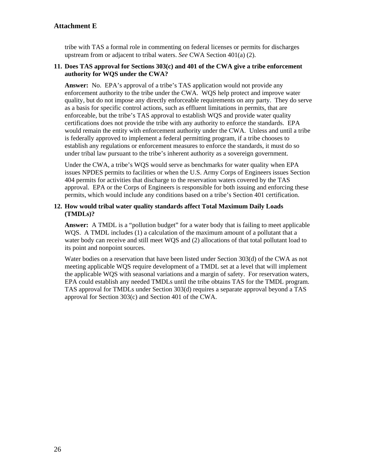### **Attachment E**

tribe with TAS a formal role in commenting on federal licenses or permits for discharges upstream from or adjacent to tribal waters. *See* CWA Section 401(a) (2).

#### **11. Does TAS approval for Sections 303(c) and 401 of the CWA give a tribe enforcement authority for WQS under the CWA?**

**Answer:** No. EPA's approval of a tribe's TAS application would not provide any enforcement authority to the tribe under the CWA. WQS help protect and improve water quality, but do not impose any directly enforceable requirements on any party. They do serve as a basis for specific control actions, such as effluent limitations in permits, that are enforceable, but the tribe's TAS approval to establish WQS and provide water quality certifications does not provide the tribe with any authority to enforce the standards. EPA would remain the entity with enforcement authority under the CWA. Unless and until a tribe is federally approved to implement a federal permitting program, if a tribe chooses to establish any regulations or enforcement measures to enforce the standards, it must do so under tribal law pursuant to the tribe's inherent authority as a sovereign government.

Under the CWA, a tribe's WQS would serve as benchmarks for water quality when EPA issues NPDES permits to facilities or when the U.S. Army Corps of Engineers issues Section 404 permits for activities that discharge to the reservation waters covered by the TAS approval. EPA or the Corps of Engineers is responsible for both issuing and enforcing these permits, which would include any conditions based on a tribe's Section 401 certification.

#### **12. How would tribal water quality standards affect Total Maximum Daily Loads (TMDLs)?**

**Answer:** A TMDL is a "pollution budget" for a water body that is failing to meet applicable WQS. A TMDL includes (1) a calculation of the maximum amount of a pollutant that a water body can receive and still meet WQS and (2) allocations of that total pollutant load to its point and nonpoint sources.

Water bodies on a reservation that have been listed under Section 303(d) of the CWA as not meeting applicable WQS require development of a TMDL set at a level that will implement the applicable WQS with seasonal variations and a margin of safety. For reservation waters, EPA could establish any needed TMDLs until the tribe obtains TAS for the TMDL program. TAS approval for TMDLs under Section 303(d) requires a separate approval beyond a TAS approval for Section 303(c) and Section 401 of the CWA.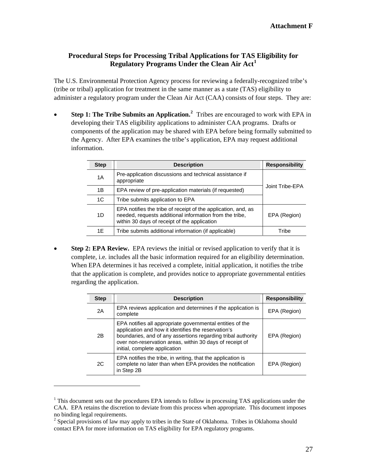# **Procedural Steps for Processing Tribal Applications for TAS Eligibility for Regulatory Programs Under the Clean Air Act[1](#page-26-0)**

The U.S. Environmental Protection Agency process for reviewing a federally-recognized tribe's (tribe or tribal) application for treatment in the same manner as a state (TAS) eligibility to administer a regulatory program under the Clean Air Act (CAA) consists of four steps. They are:

• **Step 1: The Tribe Submits an Application.[2](#page-26-1)** Tribes are encouraged to work with EPA in developing their TAS eligibility applications to administer CAA programs. Drafts or components of the application may be shared with EPA before being formally submitted to the Agency. After EPA examines the tribe's application, EPA may request additional information.

| <b>Step</b>    | <b>Description</b>                                                                                                                                                       | <b>Responsibility</b> |
|----------------|--------------------------------------------------------------------------------------------------------------------------------------------------------------------------|-----------------------|
| 1A             | Pre-application discussions and technical assistance if<br>appropriate                                                                                                   |                       |
| 1B             | EPA review of pre-application materials (if requested)                                                                                                                   | Joint Tribe-EPA       |
| 1 <sup>C</sup> | Tribe submits application to EPA                                                                                                                                         |                       |
| 1D             | EPA notifies the tribe of receipt of the application, and, as<br>needed, requests additional information from the tribe,<br>within 30 days of receipt of the application | EPA (Region)          |
| 1E             | Tribe submits additional information (if applicable)                                                                                                                     | Tribe                 |

**Step 2: EPA Review.** EPA reviews the initial or revised application to verify that it is complete, i.e. includes all the basic information required for an eligibility determination. When EPA determines it has received a complete, initial application, it notifies the tribe that the application is complete, and provides notice to appropriate governmental entities regarding the application.

| <b>Step</b> | <b>Description</b>                                                                                                                                                                                                                                                            | <b>Responsibility</b> |
|-------------|-------------------------------------------------------------------------------------------------------------------------------------------------------------------------------------------------------------------------------------------------------------------------------|-----------------------|
| 2A          | EPA reviews application and determines if the application is<br>complete                                                                                                                                                                                                      | EPA (Region)          |
| 2B          | EPA notifies all appropriate governmental entities of the<br>application and how it identifies the reservation's<br>boundaries, and of any assertions regarding tribal authority<br>over non-reservation areas, within 30 days of receipt of<br>initial, complete application | EPA (Region)          |
| 2C          | EPA notifies the tribe, in writing, that the application is<br>complete no later than when EPA provides the notification<br>in Step 2B                                                                                                                                        | EPA (Region)          |

<span id="page-26-0"></span><sup>&</sup>lt;sup>1</sup> This document sets out the procedures EPA intends to follow in processing TAS applications under the CAA. EPA retains the discretion to deviate from this process when appropriate. This document imposes no binding legal requirements.

<span id="page-26-1"></span> $2^2$  Special provisions of law may apply to tribes in the State of Oklahoma. Tribes in Oklahoma should contact EPA for more information on TAS eligibility for EPA regulatory programs.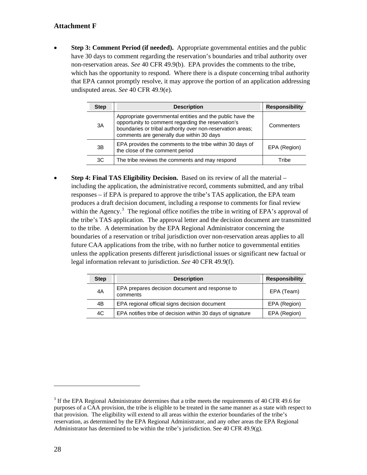# **Attachment F**

• **Step 3: Comment Period (if needed).** Appropriate governmental entities and the public have 30 days to comment regarding the reservation's boundaries and tribal authority over non-reservation areas. *See* 40 CFR 49.9(b). EPA provides the comments to the tribe, which has the opportunity to respond. Where there is a dispute concerning tribal authority that EPA cannot promptly resolve, it may approve the portion of an application addressing undisputed areas. *See* 40 CFR 49.9(e).

| <b>Step</b> | <b>Description</b>                                                                                                                                                                                                         | <b>Responsibility</b> |
|-------------|----------------------------------------------------------------------------------------------------------------------------------------------------------------------------------------------------------------------------|-----------------------|
| 3A          | Appropriate governmental entities and the public have the<br>opportunity to comment regarding the reservation's<br>boundaries or tribal authority over non-reservation areas;<br>comments are generally due within 30 days | Commenters            |
| 3B          | EPA provides the comments to the tribe within 30 days of<br>the close of the comment period                                                                                                                                | EPA (Region)          |
| 3C          | The tribe reviews the comments and may respond                                                                                                                                                                             | Tribe                 |

• **Step 4: Final TAS Eligibility Decision.** Based on its review of all the material – including the application, the administrative record, comments submitted, and any tribal responses – if EPA is prepared to approve the tribe's TAS application, the EPA team produces a draft decision document, including a response to comments for final review within the Agency.<sup>[3](#page-27-0)</sup> The regional office notifies the tribe in writing of EPA's approval of the tribe's TAS application. The approval letter and the decision document are transmitted to the tribe. A determination by the EPA Regional Administrator concerning the boundaries of a reservation or tribal jurisdiction over non-reservation areas applies to all future CAA applications from the tribe, with no further notice to governmental entities unless the application presents different jurisdictional issues or significant new factual or legal information relevant to jurisdiction. *See* 40 CFR 49.9(f).

| <b>Step</b> | <b>Description</b>                                         | <b>Responsibility</b> |
|-------------|------------------------------------------------------------|-----------------------|
| 4A          | EPA prepares decision document and response to<br>comments | EPA (Team)            |
| 4B          | EPA regional official signs decision document              | EPA (Region)          |
| 4C          | EPA notifies tribe of decision within 30 days of signature | EPA (Region)          |

<span id="page-27-0"></span> purposes of a CAA provision, the tribe is eligible to be treated in the same manner as a state with respect to  $3$  If the EPA Regional Administrator determines that a tribe meets the requirements of 40 CFR 49.6 for that provision. The eligibility will extend to all areas within the exterior boundaries of the tribe's reservation, as determined by the EPA Regional Administrator, and any other areas the EPA Regional Administrator has determined to be within the tribe's jurisdiction. See 40 CFR 49.9(g).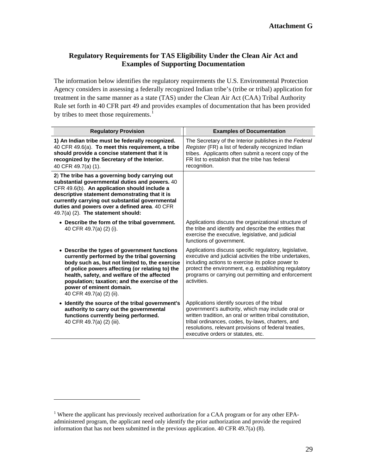# **Regulatory Requirements for TAS Eligibility Under the Clean Air Act and Examples of Supporting Documentation**

by tribes to meet those requirements. $<sup>1</sup>$ </sup> The information below identifies the regulatory requirements the U.S. Environmental Protection Agency considers in assessing a federally recognized Indian tribe's (tribe or tribal) application for treatment in the same manner as a state (TAS) under the Clean Air Act (CAA) Tribal Authority Rule set forth in 40 CFR part 49 and provides examples of documentation that has been provided

| <b>Regulatory Provision</b>                                                                                                                                                                                                                                                                                                                              | <b>Examples of Documentation</b>                                                                                                                                                                                                                                                                                  |
|----------------------------------------------------------------------------------------------------------------------------------------------------------------------------------------------------------------------------------------------------------------------------------------------------------------------------------------------------------|-------------------------------------------------------------------------------------------------------------------------------------------------------------------------------------------------------------------------------------------------------------------------------------------------------------------|
| 1) An Indian tribe must be federally recognized.<br>40 CFR 49.6(a). To meet this requirement, a tribe<br>should provide a concise statement that it is<br>recognized by the Secretary of the Interior.<br>40 CFR 49.7(a) (1).                                                                                                                            | The Secretary of the Interior publishes in the Federal<br>Register (FR) a list of federally recognized Indian<br>tribes. Applicants often submit a recent copy of the<br>FR list to establish that the tribe has federal<br>recognition.                                                                          |
| 2) The tribe has a governing body carrying out<br>substantial governmental duties and powers. 40<br>CFR 49.6(b). An application should include a<br>descriptive statement demonstrating that it is<br>currently carrying out substantial governmental<br>duties and powers over a defined area. 40 CFR<br>49.7(a) (2). The statement should:             |                                                                                                                                                                                                                                                                                                                   |
| • Describe the form of the tribal government.<br>40 CFR 49.7(a) (2) (i).                                                                                                                                                                                                                                                                                 | Applications discuss the organizational structure of<br>the tribe and identify and describe the entities that<br>exercise the executive, legislative, and judicial<br>functions of government.                                                                                                                    |
| • Describe the types of government functions<br>currently performed by the tribal governing<br>body such as, but not limited to, the exercise<br>of police powers affecting (or relating to) the<br>health, safety, and welfare of the affected<br>population; taxation; and the exercise of the<br>power of eminent domain.<br>40 CFR 49.7(a) (2) (ii). | Applications discuss specific regulatory, legislative,<br>executive and judicial activities the tribe undertakes,<br>including actions to exercise its police power to<br>protect the environment, e.g. establishing regulatory<br>programs or carrying out permitting and enforcement<br>activities.             |
| • Identify the source of the tribal government's<br>authority to carry out the governmental<br>functions currently being performed.<br>40 CFR 49.7(a) (2) (iii).                                                                                                                                                                                         | Applications identify sources of the tribal<br>government's authority, which may include oral or<br>written tradition, an oral or written tribal constitution,<br>tribal ordinances, codes, by-laws, charters, and<br>resolutions, relevant provisions of federal treaties,<br>executive orders or statutes, etc. |

<span id="page-28-0"></span><sup>&</sup>lt;sup>1</sup> Where the applicant has previously received authorization for a CAA program or for any other EPAadministered program, the applicant need only identify the prior authorization and provide the required information that has not been submitted in the previous application. 40 CFR 49.7(a) (8).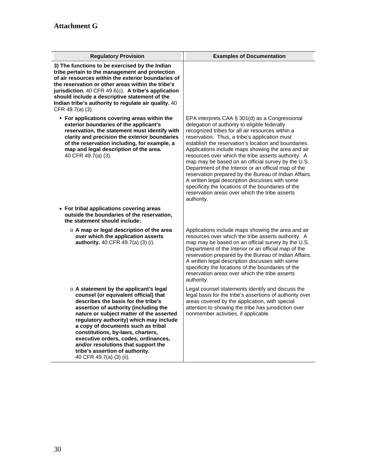| <b>Regulatory Provision</b>                                                                                                                                                                                                                                                                                                                                                                                                                                                     | <b>Examples of Documentation</b>                                                                                                                                                                                                                                                                                                                                                                                                                                                                                                                                                                                                                                                                                          |
|---------------------------------------------------------------------------------------------------------------------------------------------------------------------------------------------------------------------------------------------------------------------------------------------------------------------------------------------------------------------------------------------------------------------------------------------------------------------------------|---------------------------------------------------------------------------------------------------------------------------------------------------------------------------------------------------------------------------------------------------------------------------------------------------------------------------------------------------------------------------------------------------------------------------------------------------------------------------------------------------------------------------------------------------------------------------------------------------------------------------------------------------------------------------------------------------------------------------|
| 3) The functions to be exercised by the Indian<br>tribe pertain to the management and protection<br>of air resources within the exterior boundaries of<br>the reservation or other areas within the tribe's<br>jurisdiction. 40 CFR 49.6(c). A tribe's application<br>should include a descriptive statement of the<br>Indian tribe's authority to regulate air quality. 40<br>CFR 49.7(a) (3).                                                                                 |                                                                                                                                                                                                                                                                                                                                                                                                                                                                                                                                                                                                                                                                                                                           |
| • For applications covering areas within the<br>exterior boundaries of the applicant's<br>reservation, the statement must identify with<br>clarity and precision the exterior boundaries<br>of the reservation including, for example, a<br>map and legal description of the area.<br>40 CFR 49.7(a) (3).                                                                                                                                                                       | EPA interprets CAA § 301(d) as a Congressional<br>delegation of authority to eligible federally<br>recognized tribes for all air resources within a<br>reservation. Thus, a tribe's application must<br>establish the reservation's location and boundaries.<br>Applications include maps showing the area and air<br>resources over which the tribe asserts authority. A<br>map may be based on an official survey by the U.S.<br>Department of the Interior or an official map of the<br>reservation prepared by the Bureau of Indian Affairs.<br>A written legal description discusses with some<br>specificity the locations of the boundaries of the<br>reservation areas over which the tribe asserts<br>authority. |
| • For tribal applications covering areas<br>outside the boundaries of the reservation,<br>the statement should include:                                                                                                                                                                                                                                                                                                                                                         |                                                                                                                                                                                                                                                                                                                                                                                                                                                                                                                                                                                                                                                                                                                           |
| $\circ$ A map or legal description of the area<br>over which the application asserts<br>authority. 40 CFR 49.7(a) (3) (i).                                                                                                                                                                                                                                                                                                                                                      | Applications include maps showing the area and air<br>resources over which the tribe asserts authority. A<br>map may be based on an official survey by the U.S.<br>Department of the Interior or an official map of the<br>reservation prepared by the Bureau of Indian Affairs.<br>A written legal description discusses with some<br>specificity the locations of the boundaries of the<br>reservation areas over which the tribe asserts<br>authority.                                                                                                                                                                                                                                                                 |
| o A statement by the applicant's legal<br>counsel (or equivalent official) that<br>describes the basis for the tribe's<br>assertion of authority (including the<br>nature or subject matter of the asserted<br>regulatory authority) which may include<br>a copy of documents such as tribal<br>constitutions, by-laws, charters,<br>executive orders, codes, ordinances,<br>and/or resolutions that support the<br>tribe's assertion of authority.<br>40 CFR 49.7(a) (3) (ii). | Legal counsel statements identify and discuss the<br>legal basis for the tribe's assertions of authority over<br>areas covered by the application, with special<br>attention to showing the tribe has jurisdiction over<br>nonmember activities, if applicable.                                                                                                                                                                                                                                                                                                                                                                                                                                                           |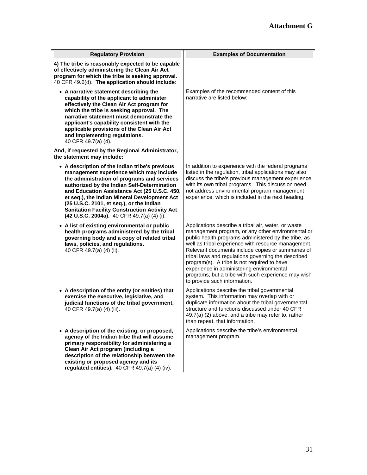| <b>Regulatory Provision</b>                                                                                                                                                                                                                                                                                                                                                                                                               | <b>Examples of Documentation</b>                                                                                                                                                                                                                                                                                                                                                                                                                                                                                       |
|-------------------------------------------------------------------------------------------------------------------------------------------------------------------------------------------------------------------------------------------------------------------------------------------------------------------------------------------------------------------------------------------------------------------------------------------|------------------------------------------------------------------------------------------------------------------------------------------------------------------------------------------------------------------------------------------------------------------------------------------------------------------------------------------------------------------------------------------------------------------------------------------------------------------------------------------------------------------------|
| 4) The tribe is reasonably expected to be capable<br>of effectively administering the Clean Air Act<br>program for which the tribe is seeking approval.<br>40 CFR 49.6(d). The application should include:                                                                                                                                                                                                                                |                                                                                                                                                                                                                                                                                                                                                                                                                                                                                                                        |
| • A narrative statement describing the<br>capability of the applicant to administer<br>effectively the Clean Air Act program for<br>which the tribe is seeking approval. The<br>narrative statement must demonstrate the<br>applicant's capability consistent with the<br>applicable provisions of the Clean Air Act<br>and implementing regulations.<br>40 CFR 49.7(a) (4).                                                              | Examples of the recommended content of this<br>narrative are listed below:                                                                                                                                                                                                                                                                                                                                                                                                                                             |
| And, if requested by the Regional Administrator,<br>the statement may include:                                                                                                                                                                                                                                                                                                                                                            |                                                                                                                                                                                                                                                                                                                                                                                                                                                                                                                        |
| • A description of the Indian tribe's previous<br>management experience which may include<br>the administration of programs and services<br>authorized by the Indian Self-Determination<br>and Education Assistance Act (25 U.S.C. 450,<br>et seq.), the Indian Mineral Development Act<br>(25 U.S.C. 2101, et seq.), or the Indian<br><b>Sanitation Facility Construction Activity Act</b><br>(42 U.S.C. 2004a). 40 CFR 49.7(a) (4) (i). | In addition to experience with the federal programs<br>listed in the regulation, tribal applications may also<br>discuss the tribe's previous management experience<br>with its own tribal programs. This discussion need<br>not address environmental program management<br>experience, which is included in the next heading.                                                                                                                                                                                        |
| • A list of existing environmental or public<br>health programs administered by the tribal<br>governing body and a copy of related tribal<br>laws, policies, and regulations.<br>40 CFR 49.7(a) (4) (ii).                                                                                                                                                                                                                                 | Applications describe a tribal air, water, or waste<br>management program, or any other environmental or<br>public health programs administered by the tribe, as<br>well as tribal experience with resource management.<br>Relevant documents include copies or summaries of<br>tribal laws and regulations governing the described<br>program(s). A tribe is not required to have<br>experience in administering environmental<br>programs, but a tribe with such experience may wish<br>to provide such information. |
| • A description of the entity (or entities) that<br>exercise the executive, legislative, and<br>judicial functions of the tribal government.<br>40 CFR 49.7(a) (4) (iii).                                                                                                                                                                                                                                                                 | Applications describe the tribal governmental<br>system. This information may overlap with or<br>duplicate information about the tribal governmental<br>structure and functions discussed under 40 CFR<br>49.7(a) (2) above, and a tribe may refer to, rather<br>than repeat, that information.                                                                                                                                                                                                                        |
| • A description of the existing, or proposed,<br>agency of the Indian tribe that will assume<br>primary responsibility for administering a<br>Clean Air Act program (including a<br>description of the relationship between the<br>existing or proposed agency and its<br>regulated entities). 40 CFR 49.7(a) (4) (iv).                                                                                                                   | Applications describe the tribe's environmental<br>management program.                                                                                                                                                                                                                                                                                                                                                                                                                                                 |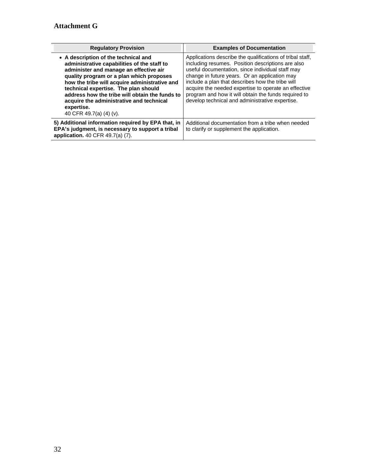| <b>Regulatory Provision</b>                                                                                                                                                                                                                                                                                                                                                                               | <b>Examples of Documentation</b>                                                                                                                                                                                                                                                                                                                                                                                                           |
|-----------------------------------------------------------------------------------------------------------------------------------------------------------------------------------------------------------------------------------------------------------------------------------------------------------------------------------------------------------------------------------------------------------|--------------------------------------------------------------------------------------------------------------------------------------------------------------------------------------------------------------------------------------------------------------------------------------------------------------------------------------------------------------------------------------------------------------------------------------------|
| • A description of the technical and<br>administrative capabilities of the staff to<br>administer and manage an effective air<br>quality program or a plan which proposes<br>how the tribe will acquire administrative and<br>technical expertise. The plan should<br>address how the tribe will obtain the funds to<br>acquire the administrative and technical<br>expertise.<br>40 CFR 49.7(a) (4) (v). | Applications describe the qualifications of tribal staff.<br>including resumes. Position descriptions are also<br>useful documentation, since individual staff may<br>change in future years. Or an application may<br>include a plan that describes how the tribe will<br>acquire the needed expertise to operate an effective<br>program and how it will obtain the funds required to<br>develop technical and administrative expertise. |
| 5) Additional information required by EPA that, in<br>EPA's judgment, is necessary to support a tribal<br>application. 40 CFR 49.7(a) (7).                                                                                                                                                                                                                                                                | Additional documentation from a tribe when needed<br>to clarify or supplement the application.                                                                                                                                                                                                                                                                                                                                             |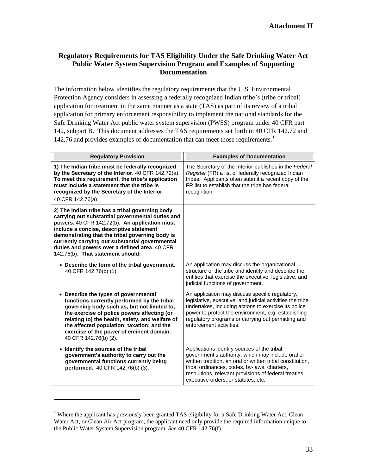### **Regulatory Requirements for TAS Eligibility Under the Safe Drinking Water Act Public Water System Supervision Program and Examples of Supporting Documentation**

[1](#page-32-0)42.76 and provides examples of documentation that can meet those requirements.<sup>1</sup> The information below identifies the regulatory requirements that the U.S. Environmental Protection Agency considers in assessing a federally recognized Indian tribe's (tribe or tribal) application for treatment in the same manner as a state (TAS) as part of its review of a tribal application for primary enforcement responsibility to implement the national standards for the Safe Drinking Water Act public water system supervision (PWSS) program under 40 CFR part 142, subpart B. This document addresses the TAS requirements set forth in 40 CFR 142.72 and

| <b>Regulatory Provision</b>                                                                                                                                                                                                                                                                                                                                                                  | <b>Examples of Documentation</b>                                                                                                                                                                                                                                                                               |
|----------------------------------------------------------------------------------------------------------------------------------------------------------------------------------------------------------------------------------------------------------------------------------------------------------------------------------------------------------------------------------------------|----------------------------------------------------------------------------------------------------------------------------------------------------------------------------------------------------------------------------------------------------------------------------------------------------------------|
| 1) The Indian tribe must be federally recognized<br>by the Secretary of the Interior. 40 CFR 142.72(a).<br>To meet this requirement, the tribe's application<br>must include a statement that the tribe is<br>recognized by the Secretary of the Interior.<br>40 CFR 142.76(a)                                                                                                               | The Secretary of the Interior publishes in the Federal<br>Register (FR) a list of federally recognized Indian<br>tribes. Applicants often submit a recent copy of the<br>FR list to establish that the tribe has federal<br>recognition.                                                                       |
| 2) The Indian tribe has a tribal governing body<br>carrying out substantial governmental duties and<br>powers. 40 CFR 142.72(b). An application must<br>include a concise, descriptive statement<br>demonstrating that the tribal governing body is<br>currently carrying out substantial governmental<br>duties and powers over a defined area. 40 CFR<br>142.76(b). That statement should: |                                                                                                                                                                                                                                                                                                                |
| • Describe the form of the tribal government.<br>40 CFR 142.76(b) (1).                                                                                                                                                                                                                                                                                                                       | An application may discuss the organizational<br>structure of the tribe and identify and describe the<br>entities that exercise the executive, legislative, and<br>judicial functions of government.                                                                                                           |
| • Describe the types of governmental<br>functions currently performed by the tribal<br>governing body such as, but not limited to,<br>the exercise of police powers affecting (or<br>relating to) the health, safety, and welfare of<br>the affected population; taxation; and the<br>exercise of the power of eminent domain.<br>40 CFR 142.76(b) (2).                                      | An application may discuss specific regulatory,<br>legislative, executive, and judicial activities the tribe<br>undertakes, including actions to exercise its police<br>power to protect the environment, e.g. establishing<br>regulatory programs or carrying out permitting and<br>enforcement activities.   |
| • Identify the sources of the tribal<br>government's authority to carry out the<br>governmental functions currently being<br>performed. 40 CFR 142.76(b) (3).                                                                                                                                                                                                                                | Applications identify sources of the tribal<br>government's authority, which may include oral or<br>written tradition, an oral or written tribal constitution,<br>tribal ordinances, codes, by-laws, charters,<br>resolutions, relevant provisions of federal treaties,<br>executive orders, or statutes, etc. |

<span id="page-32-0"></span> Water Act, or Clean Air Act program, the applicant need only provide the required information unique to the Public Water System Supervision program. *See* 40 CFR 142.76(f). <sup>1</sup> Where the applicant has previously been granted TAS eligibility for a Safe Drinking Water Act, Clean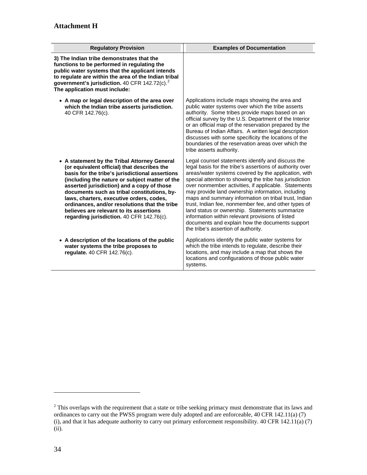| <b>Regulatory Provision</b>                                                                                                                                                                                                                                                                                                                                                                                                                                                        | <b>Examples of Documentation</b>                                                                                                                                                                                                                                                                                                                                                                                                                                                                                                                                                                                                                              |
|------------------------------------------------------------------------------------------------------------------------------------------------------------------------------------------------------------------------------------------------------------------------------------------------------------------------------------------------------------------------------------------------------------------------------------------------------------------------------------|---------------------------------------------------------------------------------------------------------------------------------------------------------------------------------------------------------------------------------------------------------------------------------------------------------------------------------------------------------------------------------------------------------------------------------------------------------------------------------------------------------------------------------------------------------------------------------------------------------------------------------------------------------------|
| 3) The Indian tribe demonstrates that the<br>functions to be performed in regulating the<br>public water systems that the applicant intends<br>to regulate are within the area of the Indian tribal<br>government's jurisdiction. 40 CFR 142.72(c). $2$<br>The application must include:                                                                                                                                                                                           |                                                                                                                                                                                                                                                                                                                                                                                                                                                                                                                                                                                                                                                               |
| • A map or legal description of the area over<br>which the Indian tribe asserts jurisdiction.<br>40 CFR 142.76(c).                                                                                                                                                                                                                                                                                                                                                                 | Applications include maps showing the area and<br>public water systems over which the tribe asserts<br>authority. Some tribes provide maps based on an<br>official survey by the U.S. Department of the Interior<br>or an official map of the reservation prepared by the<br>Bureau of Indian Affairs. A written legal description<br>discusses with some specificity the locations of the<br>boundaries of the reservation areas over which the<br>tribe asserts authority.                                                                                                                                                                                  |
| • A statement by the Tribal Attorney General<br>(or equivalent official) that describes the<br>basis for the tribe's jurisdictional assertions<br>(including the nature or subject matter of the<br>asserted jurisdiction) and a copy of those<br>documents such as tribal constitutions, by-<br>laws, charters, executive orders, codes,<br>ordinances, and/or resolutions that the tribe<br>believes are relevant to its assertions<br>regarding jurisdiction. 40 CFR 142.76(c). | Legal counsel statements identify and discuss the<br>legal basis for the tribe's assertions of authority over<br>areas/water systems covered by the application, with<br>special attention to showing the tribe has jurisdiction<br>over nonmember activities, if applicable. Statements<br>may provide land ownership information, including<br>maps and summary information on tribal trust, Indian<br>trust, Indian fee, nonmember fee, and other types of<br>land status or ownership. Statements summarize<br>information within relevant provisions of listed<br>documents and explain how the documents support<br>the tribe's assertion of authority. |
| • A description of the locations of the public<br>water systems the tribe proposes to<br>regulate. 40 CFR 142.76(c).                                                                                                                                                                                                                                                                                                                                                               | Applications identify the public water systems for<br>which the tribe intends to regulate, describe their<br>locations, and may include a map that shows the<br>locations and configurations of those public water<br>systems.                                                                                                                                                                                                                                                                                                                                                                                                                                |

<span id="page-33-0"></span> $2$  This overlaps with the requirement that a state or tribe seeking primacy must demonstrate that its laws and ordinances to carry out the PWSS program were duly adopted and are enforceable, 40 CFR 142.11(a) (7) (i), and that it has adequate authority to carry out primary enforcement responsibility. 40 CFR 142.11(a) (7) (ii).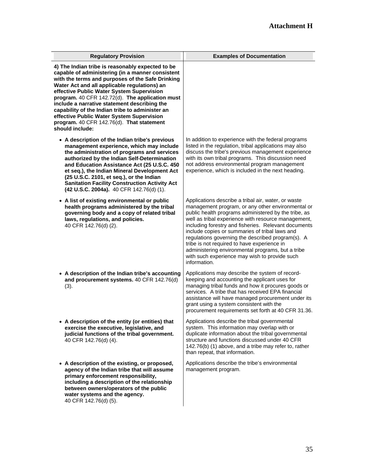| <b>Regulatory Provision</b>                                                                                                                                                                                                                                                                                                                                                                                                                                                                                              | <b>Examples of Documentation</b>                                                                                                                                                                                                                                                                                                                                                                                                                                                                                                                            |
|--------------------------------------------------------------------------------------------------------------------------------------------------------------------------------------------------------------------------------------------------------------------------------------------------------------------------------------------------------------------------------------------------------------------------------------------------------------------------------------------------------------------------|-------------------------------------------------------------------------------------------------------------------------------------------------------------------------------------------------------------------------------------------------------------------------------------------------------------------------------------------------------------------------------------------------------------------------------------------------------------------------------------------------------------------------------------------------------------|
| 4) The Indian tribe is reasonably expected to be<br>capable of administering (in a manner consistent<br>with the terms and purposes of the Safe Drinking<br>Water Act and all applicable regulations) an<br>effective Public Water System Supervision<br>program. 40 CFR 142.72(d). The application must<br>include a narrative statement describing the<br>capability of the Indian tribe to administer an<br>effective Public Water System Supervision<br>program. 40 CFR 142.76(d). That statement<br>should include: |                                                                                                                                                                                                                                                                                                                                                                                                                                                                                                                                                             |
| • A description of the Indian tribe's previous<br>management experience, which may include<br>the administration of programs and services<br>authorized by the Indian Self-Determination<br>and Education Assistance Act (25 U.S.C. 450<br>et seq.), the Indian Mineral Development Act<br>(25 U.S.C. 2101, et seq.), or the Indian<br><b>Sanitation Facility Construction Activity Act</b><br>(42 U.S.C. 2004a). 40 CFR 142.76(d) (1).                                                                                  | In addition to experience with the federal programs<br>listed in the regulation, tribal applications may also<br>discuss the tribe's previous management experience<br>with its own tribal programs. This discussion need<br>not address environmental program management<br>experience, which is included in the next heading.                                                                                                                                                                                                                             |
| • A list of existing environmental or public<br>health programs administered by the tribal<br>governing body and a copy of related tribal<br>laws, regulations, and policies.<br>40 CFR 142.76(d) (2).                                                                                                                                                                                                                                                                                                                   | Applications describe a tribal air, water, or waste<br>management program, or any other environmental or<br>public health programs administered by the tribe, as<br>well as tribal experience with resource management,<br>including forestry and fisheries. Relevant documents<br>include copies or summaries of tribal laws and<br>regulations governing the described program(s). A<br>tribe is not required to have experience in<br>administering environmental programs, but a tribe<br>with such experience may wish to provide such<br>information. |
| • A description of the Indian tribe's accounting<br>and procurement systems. 40 CFR 142.76(d)<br>(3).                                                                                                                                                                                                                                                                                                                                                                                                                    | Applications may describe the system of record-<br>keeping and accounting the applicant uses for<br>managing tribal funds and how it procures goods or<br>services. A tribe that has received EPA financial<br>assistance will have managed procurement under its<br>grant using a system consistent with the<br>procurement requirements set forth at 40 CFR 31.36.                                                                                                                                                                                        |
| • A description of the entity (or entities) that<br>exercise the executive, legislative, and<br>judicial functions of the tribal government.<br>40 CFR 142.76(d) (4).                                                                                                                                                                                                                                                                                                                                                    | Applications describe the tribal governmental<br>system. This information may overlap with or<br>duplicate information about the tribal governmental<br>structure and functions discussed under 40 CFR<br>142.76(b) (1) above, and a tribe may refer to, rather<br>than repeat, that information.                                                                                                                                                                                                                                                           |
| • A description of the existing, or proposed,<br>agency of the Indian tribe that will assume<br>primary enforcement responsibility,<br>including a description of the relationship<br>between owners/operators of the public<br>water systems and the agency.<br>40 CFR 142.76(d) (5).                                                                                                                                                                                                                                   | Applications describe the tribe's environmental<br>management program.                                                                                                                                                                                                                                                                                                                                                                                                                                                                                      |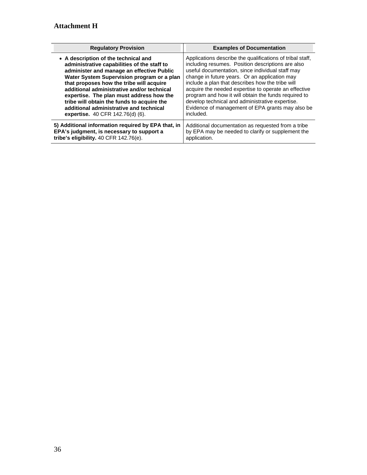| <b>Regulatory Provision</b>                        | <b>Examples of Documentation</b>                          |
|----------------------------------------------------|-----------------------------------------------------------|
| • A description of the technical and               | Applications describe the qualifications of tribal staff, |
| administrative capabilities of the staff to        | including resumes. Position descriptions are also         |
| administer and manage an effective Public          | useful documentation, since individual staff may          |
| Water System Supervision program or a plan         | change in future years. Or an application may             |
| that proposes how the tribe will acquire           | include a plan that describes how the tribe will          |
| additional administrative and/or technical         | acquire the needed expertise to operate an effective      |
| expertise. The plan must address how the           | program and how it will obtain the funds required to      |
| tribe will obtain the funds to acquire the         | develop technical and administrative expertise.           |
| additional administrative and technical            | Evidence of management of EPA grants may also be          |
| expertise. 40 CFR 142.76(d) (6).                   | included.                                                 |
| 5) Additional information required by EPA that, in | Additional documentation as requested from a tribe        |
| EPA's judgment, is necessary to support a          | by EPA may be needed to clarify or supplement the         |
| tribe's eligibility. $40$ CFR $142.76(e)$ .        | application.                                              |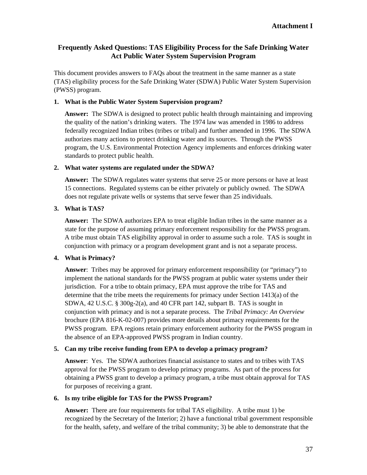### **Frequently Asked Questions: TAS Eligibility Process for the Safe Drinking Water Act Public Water System Supervision Program**

This document provides answers to FAQs about the treatment in the same manner as a state (TAS) eligibility process for the Safe Drinking Water (SDWA) Public Water System Supervision (PWSS) program.

#### **1. What is the Public Water System Supervision program?**

**Answer:** The SDWA is designed to protect public health through maintaining and improving the quality of the nation's drinking waters. The 1974 law was amended in 1986 to address federally recognized Indian tribes (tribes or tribal) and further amended in 1996. The SDWA authorizes many actions to protect drinking water and its sources. Through the PWSS program, the U.S. Environmental Protection Agency implements and enforces drinking water standards to protect public health.

#### **2. What water systems are regulated under the SDWA?**

**Answer:** The SDWA regulates water systems that serve 25 or more persons or have at least 15 connections. Regulated systems can be either privately or publicly owned. The SDWA does not regulate private wells or systems that serve fewer than 25 individuals.

### **3. What is TAS?**

**Answer:** The SDWA authorizes EPA to treat eligible Indian tribes in the same manner as a state for the purpose of assuming primary enforcement responsibility for the PWSS program. A tribe must obtain TAS eligibility approval in order to assume such a role. TAS is sought in conjunction with primacy or a program development grant and is not a separate process.

### **4. What is Primacy?**

**Answer**: Tribes may be approved for primary enforcement responsibility (or "primacy") to implement the national standards for the PWSS program at public water systems under their jurisdiction. For a tribe to obtain primacy, EPA must approve the tribe for TAS and determine that the tribe meets the requirements for primacy under Section 1413(a) of the SDWA, 42 U.S.C. § 300g-2(a), and 40 CFR part 142, subpart B. TAS is sought in conjunction with primacy and is not a separate process. The *Tribal Primacy: An Overview*  brochure (EPA 816-K-02-007) provides more details about primacy requirements for the PWSS program. EPA regions retain primary enforcement authority for the PWSS program in the absence of an EPA-approved PWSS program in Indian country.

#### **5. Can my tribe receive funding from EPA to develop a primacy program?**

**Answer**: Yes. The SDWA authorizes financial assistance to states and to tribes with TAS approval for the PWSS program to develop primacy programs. As part of the process for obtaining a PWSS grant to develop a primacy program, a tribe must obtain approval for TAS for purposes of receiving a grant.

#### **6. Is my tribe eligible for TAS for the PWSS Program?**

**Answer:** There are four requirements for tribal TAS eligibility. A tribe must 1) be recognized by the Secretary of the Interior; 2) have a functional tribal government responsible for the health, safety, and welfare of the tribal community; 3) be able to demonstrate that the